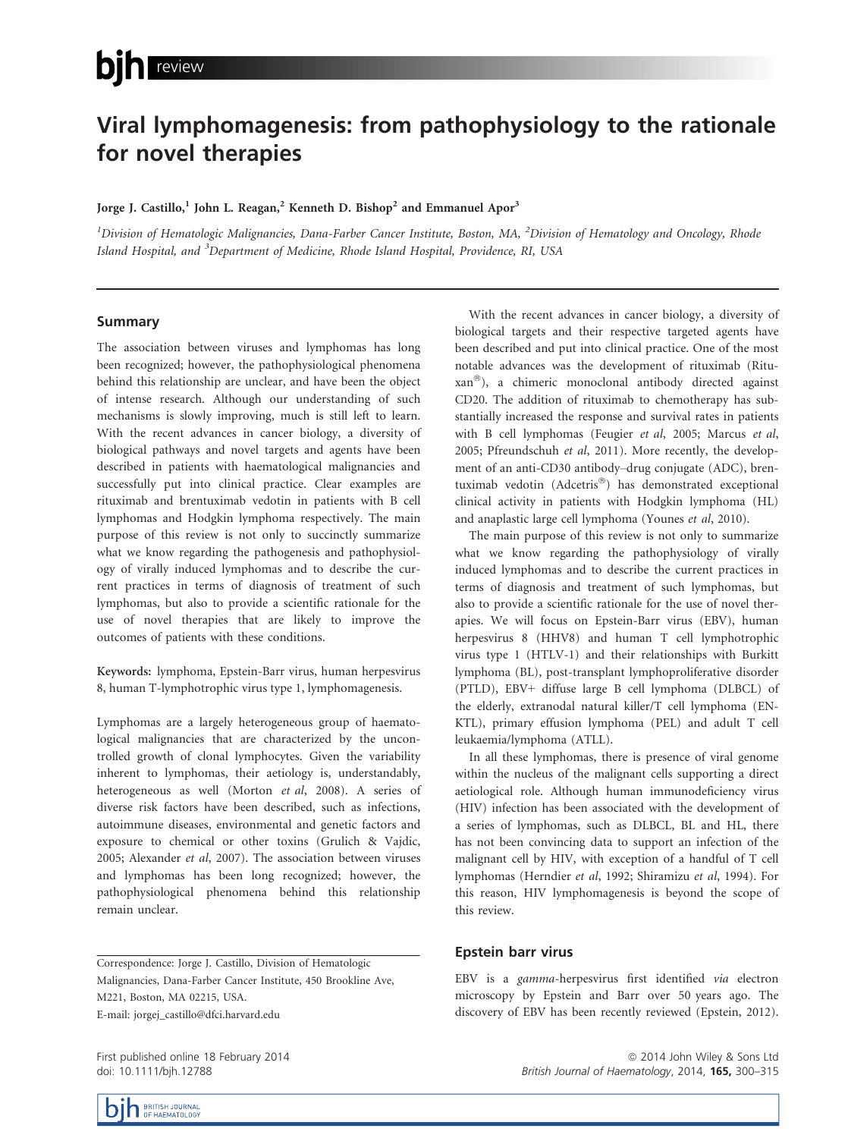# Viral lymphomagenesis: from pathophysiology to the rationale for novel therapies

#### Jorge J. Castillo,<sup>1</sup> John L. Reagan,<sup>2</sup> Kenneth D. Bishop<sup>2</sup> and Emmanuel Apor<sup>3</sup>

 $^1$ Division of Hematologic Malignancies, Dana-Farber Cancer Institute, Boston, MA,  $^2$ Division of Hematology and Oncology, Rhode Island Hospital, and <sup>3</sup>Department of Medicine, Rhode Island Hospital, Providence, RI, USA

# Summary

The association between viruses and lymphomas has long been recognized; however, the pathophysiological phenomena behind this relationship are unclear, and have been the object of intense research. Although our understanding of such mechanisms is slowly improving, much is still left to learn. With the recent advances in cancer biology, a diversity of biological pathways and novel targets and agents have been described in patients with haematological malignancies and successfully put into clinical practice. Clear examples are rituximab and brentuximab vedotin in patients with B cell lymphomas and Hodgkin lymphoma respectively. The main purpose of this review is not only to succinctly summarize what we know regarding the pathogenesis and pathophysiology of virally induced lymphomas and to describe the current practices in terms of diagnosis of treatment of such lymphomas, but also to provide a scientific rationale for the use of novel therapies that are likely to improve the outcomes of patients with these conditions.

Keywords: lymphoma, Epstein-Barr virus, human herpesvirus 8, human T-lymphotrophic virus type 1, lymphomagenesis.

Lymphomas are a largely heterogeneous group of haematological malignancies that are characterized by the uncontrolled growth of clonal lymphocytes. Given the variability inherent to lymphomas, their aetiology is, understandably, heterogeneous as well (Morton et al, 2008). A series of diverse risk factors have been described, such as infections, autoimmune diseases, environmental and genetic factors and exposure to chemical or other toxins (Grulich & Vajdic, 2005; Alexander et al, 2007). The association between viruses and lymphomas has been long recognized; however, the pathophysiological phenomena behind this relationship remain unclear.

Correspondence: Jorge J. Castillo, Division of Hematologic Malignancies, Dana-Farber Cancer Institute, 450 Brookline Ave, M221, Boston, MA 02215, USA. E-mail: jorgej\_castillo@dfci.harvard.edu

First published online 18 February 2014 doi: 10.1111/bjh.12788

With the recent advances in cancer biology, a diversity of biological targets and their respective targeted agents have been described and put into clinical practice. One of the most notable advances was the development of rituximab (Ritu $xan^{(0)}$ , a chimeric monoclonal antibody directed against CD20. The addition of rituximab to chemotherapy has substantially increased the response and survival rates in patients with B cell lymphomas (Feugier et al, 2005; Marcus et al, 2005; Pfreundschuh et al, 2011). More recently, the development of an anti-CD30 antibody–drug conjugate (ADC), brentuximab vedotin (Adcetris®) has demonstrated exceptional clinical activity in patients with Hodgkin lymphoma (HL) and anaplastic large cell lymphoma (Younes et al, 2010).

The main purpose of this review is not only to summarize what we know regarding the pathophysiology of virally induced lymphomas and to describe the current practices in terms of diagnosis and treatment of such lymphomas, but also to provide a scientific rationale for the use of novel therapies. We will focus on Epstein-Barr virus (EBV), human herpesvirus 8 (HHV8) and human T cell lymphotrophic virus type 1 (HTLV-1) and their relationships with Burkitt lymphoma (BL), post-transplant lymphoproliferative disorder (PTLD), EBV+ diffuse large B cell lymphoma (DLBCL) of the elderly, extranodal natural killer/T cell lymphoma (EN-KTL), primary effusion lymphoma (PEL) and adult T cell leukaemia/lymphoma (ATLL).

In all these lymphomas, there is presence of viral genome within the nucleus of the malignant cells supporting a direct aetiological role. Although human immunodeficiency virus (HIV) infection has been associated with the development of a series of lymphomas, such as DLBCL, BL and HL, there has not been convincing data to support an infection of the malignant cell by HIV, with exception of a handful of T cell lymphomas (Herndier et al, 1992; Shiramizu et al, 1994). For this reason, HIV lymphomagenesis is beyond the scope of this review.

#### Epstein barr virus

EBV is a gamma-herpesvirus first identified via electron microscopy by Epstein and Barr over 50 years ago. The discovery of EBV has been recently reviewed (Epstein, 2012).

> ª 2014 John Wiley & Sons Ltd British Journal of Haematology, 2014, 165, 300-315

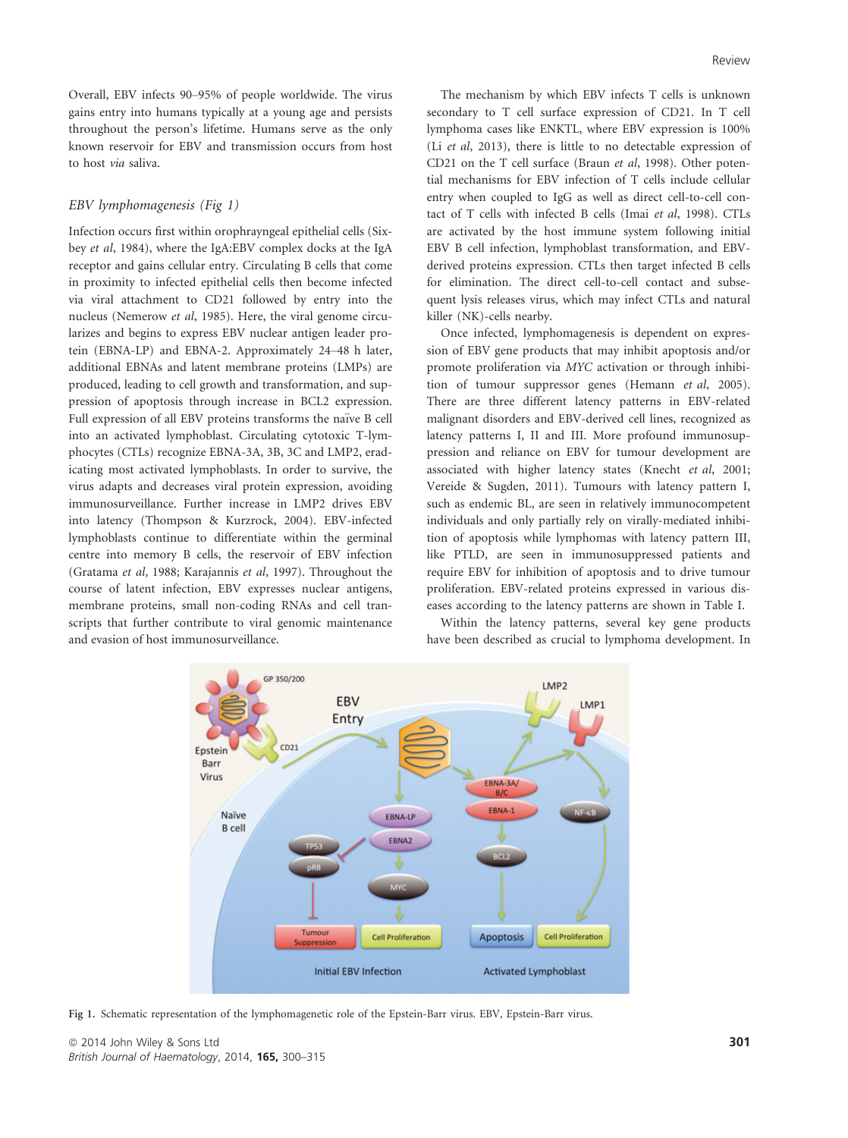Overall, EBV infects 90–95% of people worldwide. The virus gains entry into humans typically at a young age and persists throughout the person's lifetime. Humans serve as the only known reservoir for EBV and transmission occurs from host to host via saliva.

#### EBV lymphomagenesis (Fig 1)

Infection occurs first within orophrayngeal epithelial cells (Sixbey et al, 1984), where the IgA:EBV complex docks at the IgA receptor and gains cellular entry. Circulating B cells that come in proximity to infected epithelial cells then become infected via viral attachment to CD21 followed by entry into the nucleus (Nemerow et al, 1985). Here, the viral genome circularizes and begins to express EBV nuclear antigen leader protein (EBNA-LP) and EBNA-2. Approximately 24–48 h later, additional EBNAs and latent membrane proteins (LMPs) are produced, leading to cell growth and transformation, and suppression of apoptosis through increase in BCL2 expression. Full expression of all EBV proteins transforms the naïve B cell into an activated lymphoblast. Circulating cytotoxic T-lymphocytes (CTLs) recognize EBNA-3A, 3B, 3C and LMP2, eradicating most activated lymphoblasts. In order to survive, the virus adapts and decreases viral protein expression, avoiding immunosurveillance. Further increase in LMP2 drives EBV into latency (Thompson & Kurzrock, 2004). EBV-infected lymphoblasts continue to differentiate within the germinal centre into memory B cells, the reservoir of EBV infection (Gratama et al, 1988; Karajannis et al, 1997). Throughout the course of latent infection, EBV expresses nuclear antigens, membrane proteins, small non-coding RNAs and cell transcripts that further contribute to viral genomic maintenance and evasion of host immunosurveillance.

The mechanism by which EBV infects T cells is unknown secondary to T cell surface expression of CD21. In T cell lymphoma cases like ENKTL, where EBV expression is 100% (Li et al, 2013), there is little to no detectable expression of CD21 on the T cell surface (Braun et al, 1998). Other potential mechanisms for EBV infection of T cells include cellular entry when coupled to IgG as well as direct cell-to-cell contact of T cells with infected B cells (Imai et al, 1998). CTLs are activated by the host immune system following initial EBV B cell infection, lymphoblast transformation, and EBVderived proteins expression. CTLs then target infected B cells for elimination. The direct cell-to-cell contact and subsequent lysis releases virus, which may infect CTLs and natural killer (NK)-cells nearby.

Once infected, lymphomagenesis is dependent on expression of EBV gene products that may inhibit apoptosis and/or promote proliferation via MYC activation or through inhibition of tumour suppressor genes (Hemann et al, 2005). There are three different latency patterns in EBV-related malignant disorders and EBV-derived cell lines, recognized as latency patterns I, II and III. More profound immunosuppression and reliance on EBV for tumour development are associated with higher latency states (Knecht et al, 2001; Vereide & Sugden, 2011). Tumours with latency pattern I, such as endemic BL, are seen in relatively immunocompetent individuals and only partially rely on virally-mediated inhibition of apoptosis while lymphomas with latency pattern III, like PTLD, are seen in immunosuppressed patients and require EBV for inhibition of apoptosis and to drive tumour proliferation. EBV-related proteins expressed in various diseases according to the latency patterns are shown in Table I.

Within the latency patterns, several key gene products have been described as crucial to lymphoma development. In



Fig 1. Schematic representation of the lymphomagenetic role of the Epstein-Barr virus. EBV, Epstein-Barr virus.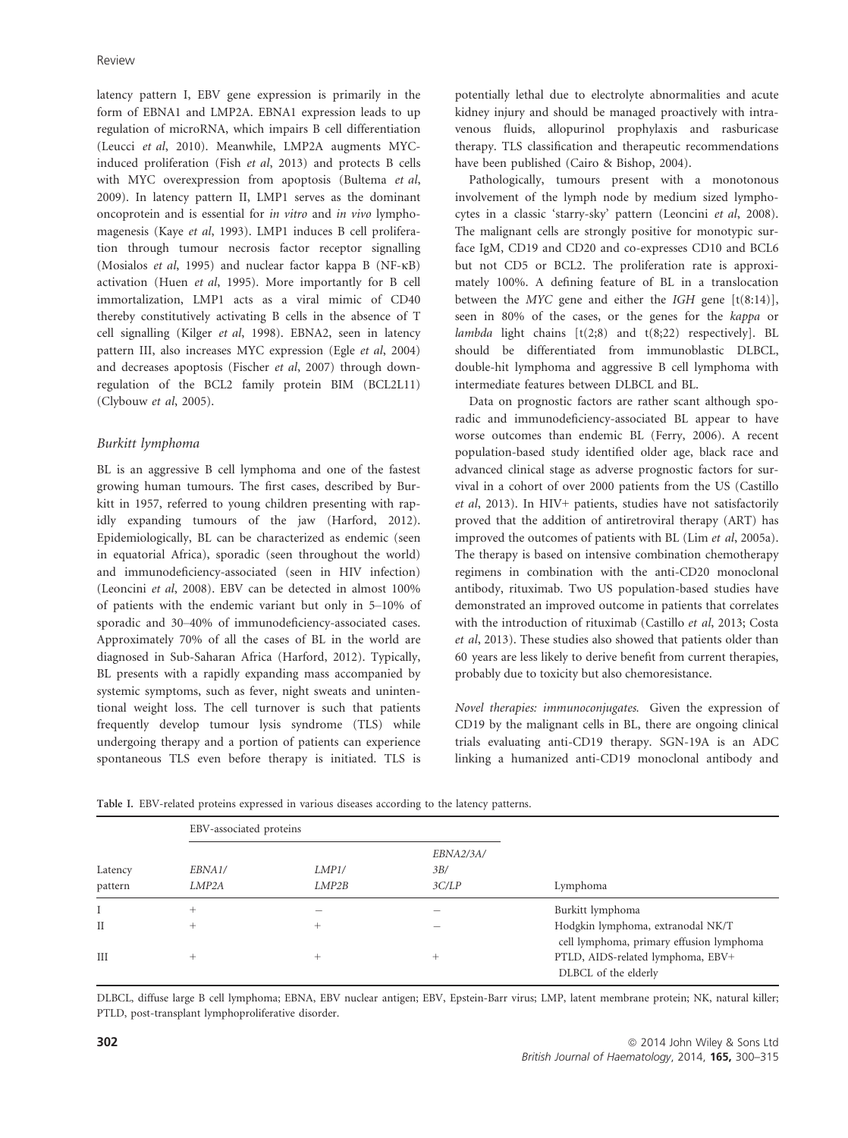latency pattern I, EBV gene expression is primarily in the form of EBNA1 and LMP2A. EBNA1 expression leads to up regulation of microRNA, which impairs B cell differentiation (Leucci et al, 2010). Meanwhile, LMP2A augments MYCinduced proliferation (Fish et al, 2013) and protects B cells with MYC overexpression from apoptosis (Bultema et al, 2009). In latency pattern II, LMP1 serves as the dominant oncoprotein and is essential for in vitro and in vivo lymphomagenesis (Kaye et al, 1993). LMP1 induces B cell proliferation through tumour necrosis factor receptor signalling (Mosialos et al, 1995) and nuclear factor kappa B (NF- $\kappa$ B) activation (Huen et al, 1995). More importantly for B cell immortalization, LMP1 acts as a viral mimic of CD40 thereby constitutively activating B cells in the absence of T cell signalling (Kilger et al, 1998). EBNA2, seen in latency pattern III, also increases MYC expression (Egle et al, 2004) and decreases apoptosis (Fischer et al, 2007) through downregulation of the BCL2 family protein BIM (BCL2L11) (Clybouw et al, 2005).

# Burkitt lymphoma

BL is an aggressive B cell lymphoma and one of the fastest growing human tumours. The first cases, described by Burkitt in 1957, referred to young children presenting with rapidly expanding tumours of the jaw (Harford, 2012). Epidemiologically, BL can be characterized as endemic (seen in equatorial Africa), sporadic (seen throughout the world) and immunodeficiency-associated (seen in HIV infection) (Leoncini et al, 2008). EBV can be detected in almost 100% of patients with the endemic variant but only in 5–10% of sporadic and 30–40% of immunodeficiency-associated cases. Approximately 70% of all the cases of BL in the world are diagnosed in Sub-Saharan Africa (Harford, 2012). Typically, BL presents with a rapidly expanding mass accompanied by systemic symptoms, such as fever, night sweats and unintentional weight loss. The cell turnover is such that patients frequently develop tumour lysis syndrome (TLS) while undergoing therapy and a portion of patients can experience spontaneous TLS even before therapy is initiated. TLS is

potentially lethal due to electrolyte abnormalities and acute kidney injury and should be managed proactively with intravenous fluids, allopurinol prophylaxis and rasburicase therapy. TLS classification and therapeutic recommendations have been published (Cairo & Bishop, 2004).

Pathologically, tumours present with a monotonous involvement of the lymph node by medium sized lymphocytes in a classic 'starry-sky' pattern (Leoncini et al, 2008). The malignant cells are strongly positive for monotypic surface IgM, CD19 and CD20 and co-expresses CD10 and BCL6 but not CD5 or BCL2. The proliferation rate is approximately 100%. A defining feature of BL in a translocation between the MYC gene and either the IGH gene  $[t(8:14)]$ , seen in 80% of the cases, or the genes for the kappa or lambda light chains  $[t(2;8)$  and  $t(8;22)$  respectively]. BL should be differentiated from immunoblastic DLBCL, double-hit lymphoma and aggressive B cell lymphoma with intermediate features between DLBCL and BL.

Data on prognostic factors are rather scant although sporadic and immunodeficiency-associated BL appear to have worse outcomes than endemic BL (Ferry, 2006). A recent population-based study identified older age, black race and advanced clinical stage as adverse prognostic factors for survival in a cohort of over 2000 patients from the US (Castillo et al, 2013). In HIV+ patients, studies have not satisfactorily proved that the addition of antiretroviral therapy (ART) has improved the outcomes of patients with BL (Lim et al, 2005a). The therapy is based on intensive combination chemotherapy regimens in combination with the anti-CD20 monoclonal antibody, rituximab. Two US population-based studies have demonstrated an improved outcome in patients that correlates with the introduction of rituximab (Castillo et al, 2013; Costa et al, 2013). These studies also showed that patients older than 60 years are less likely to derive benefit from current therapies, probably due to toxicity but also chemoresistance.

Novel therapies: immunoconjugates. Given the expression of CD19 by the malignant cells in BL, there are ongoing clinical trials evaluating anti-CD19 therapy. SGN-19A is an ADC linking a humanized anti-CD19 monoclonal antibody and

| Latency<br>pattern | EBV-associated proteins      |                |                           |                                                                               |
|--------------------|------------------------------|----------------|---------------------------|-------------------------------------------------------------------------------|
|                    | EBNA1/<br>LMP <sub>2</sub> A | LMPI/<br>LMP2B | EBNA2/3A/<br>3B/<br>3C/LP | Lymphoma                                                                      |
|                    | $^+$                         |                |                           | Burkitt lymphoma                                                              |
| $\mathbf{H}$       | $^+$                         | $^+$           |                           | Hodgkin lymphoma, extranodal NK/T<br>cell lymphoma, primary effusion lymphoma |
| III                | $^+$                         | $^+$           | $^+$                      | PTLD, AIDS-related lymphoma, EBV+<br>DLBCL of the elderly                     |

Table I. EBV-related proteins expressed in various diseases according to the latency patterns.

DLBCL, diffuse large B cell lymphoma; EBNA, EBV nuclear antigen; EBV, Epstein-Barr virus; LMP, latent membrane protein; NK, natural killer; PTLD, post-transplant lymphoproliferative disorder.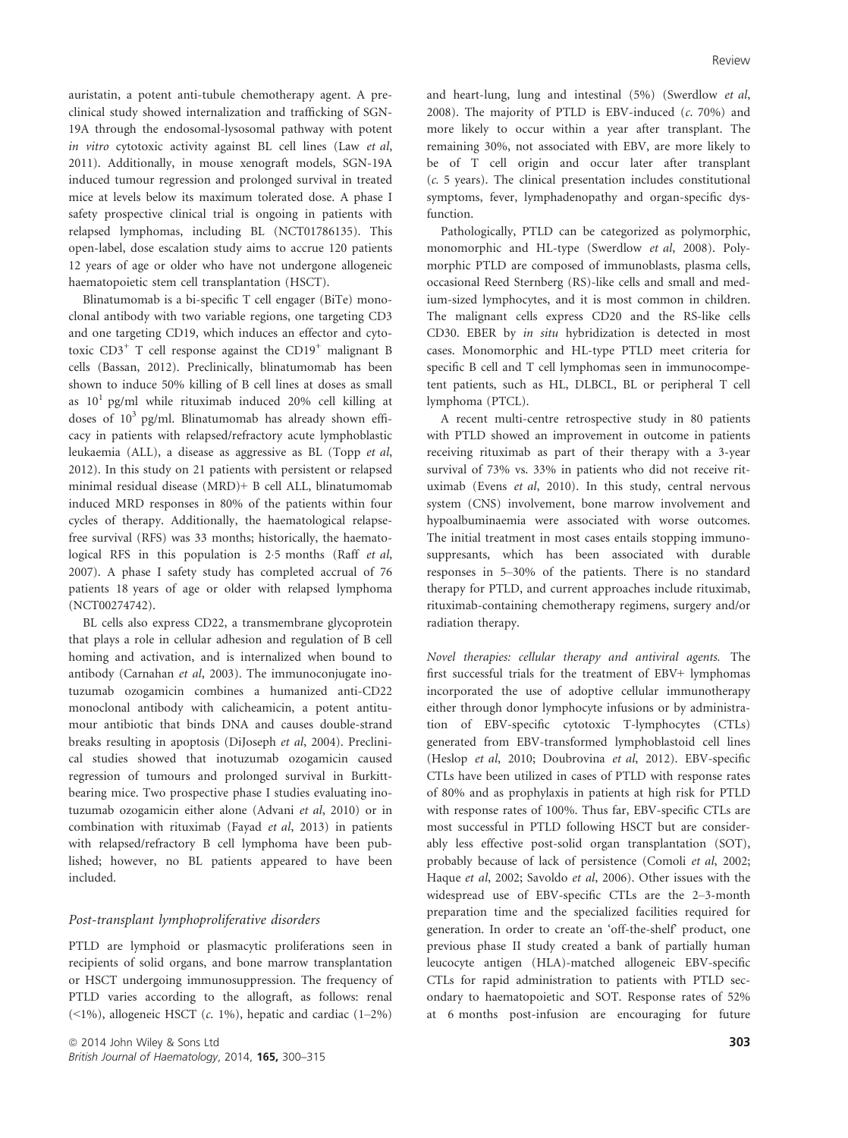auristatin, a potent anti-tubule chemotherapy agent. A preclinical study showed internalization and trafficking of SGN-19A through the endosomal-lysosomal pathway with potent in vitro cytotoxic activity against BL cell lines (Law et al, 2011). Additionally, in mouse xenograft models, SGN-19A induced tumour regression and prolonged survival in treated mice at levels below its maximum tolerated dose. A phase I safety prospective clinical trial is ongoing in patients with relapsed lymphomas, including BL (NCT01786135). This open-label, dose escalation study aims to accrue 120 patients 12 years of age or older who have not undergone allogeneic haematopoietic stem cell transplantation (HSCT).

Blinatumomab is a bi-specific T cell engager (BiTe) monoclonal antibody with two variable regions, one targeting CD3 and one targeting CD19, which induces an effector and cytotoxic  $CD3^+$  T cell response against the  $CD19^+$  malignant B cells (Bassan, 2012). Preclinically, blinatumomab has been shown to induce 50% killing of B cell lines at doses as small as  $10<sup>1</sup>$  pg/ml while rituximab induced 20% cell killing at doses of  $10^3$  pg/ml. Blinatumomab has already shown efficacy in patients with relapsed/refractory acute lymphoblastic leukaemia (ALL), a disease as aggressive as BL (Topp et al, 2012). In this study on 21 patients with persistent or relapsed minimal residual disease (MRD)+ B cell ALL, blinatumomab induced MRD responses in 80% of the patients within four cycles of therapy. Additionally, the haematological relapsefree survival (RFS) was 33 months; historically, the haematological RFS in this population is 2.5 months (Raff et al, 2007). A phase I safety study has completed accrual of 76 patients 18 years of age or older with relapsed lymphoma (NCT00274742).

BL cells also express CD22, a transmembrane glycoprotein that plays a role in cellular adhesion and regulation of B cell homing and activation, and is internalized when bound to antibody (Carnahan et al, 2003). The immunoconjugate inotuzumab ozogamicin combines a humanized anti-CD22 monoclonal antibody with calicheamicin, a potent antitumour antibiotic that binds DNA and causes double-strand breaks resulting in apoptosis (DiJoseph et al, 2004). Preclinical studies showed that inotuzumab ozogamicin caused regression of tumours and prolonged survival in Burkittbearing mice. Two prospective phase I studies evaluating inotuzumab ozogamicin either alone (Advani et al, 2010) or in combination with rituximab (Fayad et al, 2013) in patients with relapsed/refractory B cell lymphoma have been published; however, no BL patients appeared to have been included.

#### Post-transplant lymphoproliferative disorders

PTLD are lymphoid or plasmacytic proliferations seen in recipients of solid organs, and bone marrow transplantation or HSCT undergoing immunosuppression. The frequency of PTLD varies according to the allograft, as follows: renal (<1%), allogeneic HSCT (c. 1%), hepatic and cardiac (1–2%) and heart-lung, lung and intestinal (5%) (Swerdlow et al, 2008). The majority of PTLD is EBV-induced  $(c. 70%)$  and more likely to occur within a year after transplant. The remaining 30%, not associated with EBV, are more likely to be of T cell origin and occur later after transplant (c. 5 years). The clinical presentation includes constitutional symptoms, fever, lymphadenopathy and organ-specific dysfunction.

Pathologically, PTLD can be categorized as polymorphic, monomorphic and HL-type (Swerdlow et al, 2008). Polymorphic PTLD are composed of immunoblasts, plasma cells, occasional Reed Sternberg (RS)-like cells and small and medium-sized lymphocytes, and it is most common in children. The malignant cells express CD20 and the RS-like cells CD30. EBER by in situ hybridization is detected in most cases. Monomorphic and HL-type PTLD meet criteria for specific B cell and T cell lymphomas seen in immunocompetent patients, such as HL, DLBCL, BL or peripheral T cell lymphoma (PTCL).

A recent multi-centre retrospective study in 80 patients with PTLD showed an improvement in outcome in patients receiving rituximab as part of their therapy with a 3-year survival of 73% vs. 33% in patients who did not receive rituximab (Evens et al, 2010). In this study, central nervous system (CNS) involvement, bone marrow involvement and hypoalbuminaemia were associated with worse outcomes. The initial treatment in most cases entails stopping immunosuppresants, which has been associated with durable responses in 5–30% of the patients. There is no standard therapy for PTLD, and current approaches include rituximab, rituximab-containing chemotherapy regimens, surgery and/or radiation therapy.

Novel therapies: cellular therapy and antiviral agents. The first successful trials for the treatment of EBV+ lymphomas incorporated the use of adoptive cellular immunotherapy either through donor lymphocyte infusions or by administration of EBV-specific cytotoxic T-lymphocytes (CTLs) generated from EBV-transformed lymphoblastoid cell lines (Heslop et al, 2010; Doubrovina et al, 2012). EBV-specific CTLs have been utilized in cases of PTLD with response rates of 80% and as prophylaxis in patients at high risk for PTLD with response rates of 100%. Thus far, EBV-specific CTLs are most successful in PTLD following HSCT but are considerably less effective post-solid organ transplantation (SOT), probably because of lack of persistence (Comoli et al, 2002; Haque et al, 2002; Savoldo et al, 2006). Other issues with the widespread use of EBV-specific CTLs are the 2–3-month preparation time and the specialized facilities required for generation. In order to create an 'off-the-shelf' product, one previous phase II study created a bank of partially human leucocyte antigen (HLA)-matched allogeneic EBV-specific CTLs for rapid administration to patients with PTLD secondary to haematopoietic and SOT. Response rates of 52% at 6 months post-infusion are encouraging for future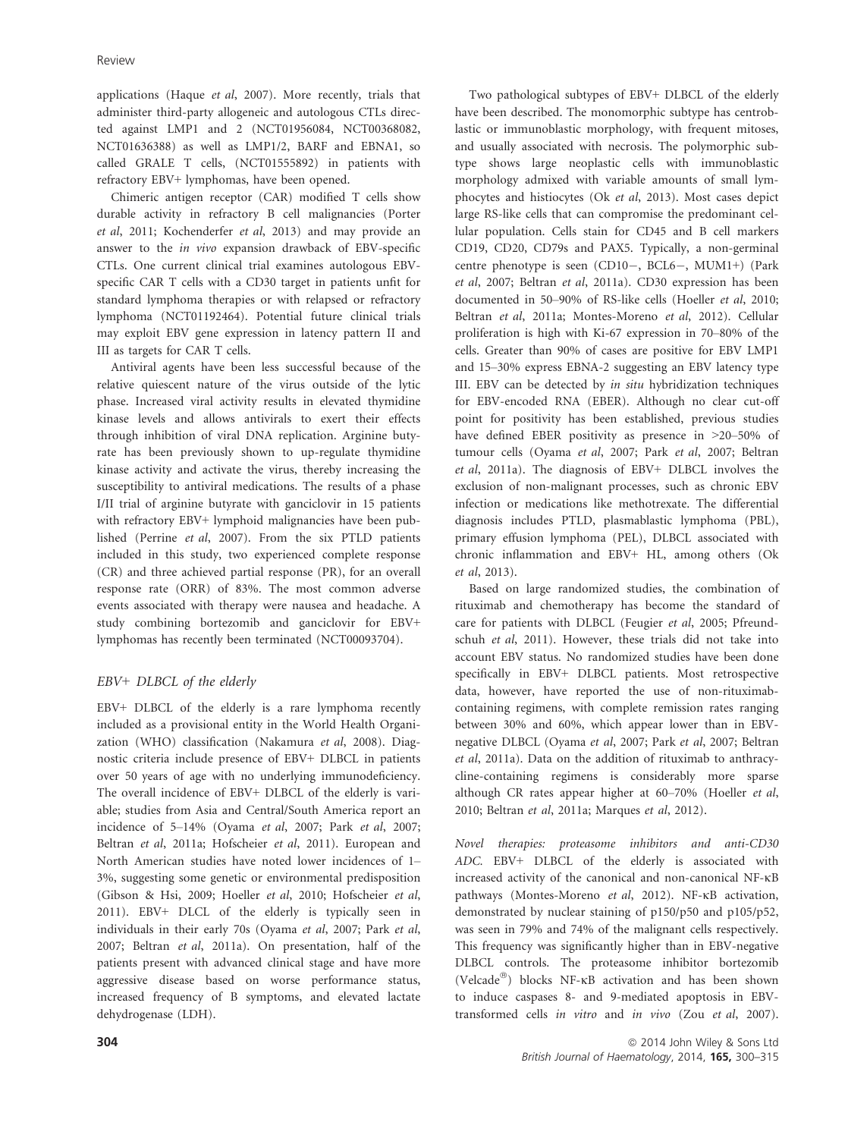applications (Haque et al, 2007). More recently, trials that administer third-party allogeneic and autologous CTLs directed against LMP1 and 2 (NCT01956084, NCT00368082, NCT01636388) as well as LMP1/2, BARF and EBNA1, so called GRALE T cells, (NCT01555892) in patients with refractory EBV+ lymphomas, have been opened.

Chimeric antigen receptor (CAR) modified T cells show durable activity in refractory B cell malignancies (Porter et al, 2011; Kochenderfer et al, 2013) and may provide an answer to the in vivo expansion drawback of EBV-specific CTLs. One current clinical trial examines autologous EBVspecific CAR T cells with a CD30 target in patients unfit for standard lymphoma therapies or with relapsed or refractory lymphoma (NCT01192464). Potential future clinical trials may exploit EBV gene expression in latency pattern II and III as targets for CAR T cells.

Antiviral agents have been less successful because of the relative quiescent nature of the virus outside of the lytic phase. Increased viral activity results in elevated thymidine kinase levels and allows antivirals to exert their effects through inhibition of viral DNA replication. Arginine butyrate has been previously shown to up-regulate thymidine kinase activity and activate the virus, thereby increasing the susceptibility to antiviral medications. The results of a phase I/II trial of arginine butyrate with ganciclovir in 15 patients with refractory EBV+ lymphoid malignancies have been published (Perrine et al, 2007). From the six PTLD patients included in this study, two experienced complete response (CR) and three achieved partial response (PR), for an overall response rate (ORR) of 83%. The most common adverse events associated with therapy were nausea and headache. A study combining bortezomib and ganciclovir for EBV+ lymphomas has recently been terminated (NCT00093704).

# EBV+ DLBCL of the elderly

EBV+ DLBCL of the elderly is a rare lymphoma recently included as a provisional entity in the World Health Organization (WHO) classification (Nakamura et al, 2008). Diagnostic criteria include presence of EBV+ DLBCL in patients over 50 years of age with no underlying immunodeficiency. The overall incidence of EBV+ DLBCL of the elderly is variable; studies from Asia and Central/South America report an incidence of 5–14% (Oyama et al, 2007; Park et al, 2007; Beltran et al, 2011a; Hofscheier et al, 2011). European and North American studies have noted lower incidences of 1– 3%, suggesting some genetic or environmental predisposition (Gibson & Hsi, 2009; Hoeller et al, 2010; Hofscheier et al, 2011). EBV+ DLCL of the elderly is typically seen in individuals in their early 70s (Oyama et al, 2007; Park et al, 2007; Beltran et al, 2011a). On presentation, half of the patients present with advanced clinical stage and have more aggressive disease based on worse performance status, increased frequency of B symptoms, and elevated lactate dehydrogenase (LDH).

Two pathological subtypes of EBV+ DLBCL of the elderly have been described. The monomorphic subtype has centroblastic or immunoblastic morphology, with frequent mitoses, and usually associated with necrosis. The polymorphic subtype shows large neoplastic cells with immunoblastic morphology admixed with variable amounts of small lymphocytes and histiocytes (Ok et al, 2013). Most cases depict large RS-like cells that can compromise the predominant cellular population. Cells stain for CD45 and B cell markers CD19, CD20, CD79s and PAX5. Typically, a non-germinal centre phenotype is seen (CD10-, BCL6-, MUM1+) (Park et al, 2007; Beltran et al, 2011a). CD30 expression has been documented in 50–90% of RS-like cells (Hoeller et al, 2010; Beltran et al, 2011a; Montes-Moreno et al, 2012). Cellular proliferation is high with Ki-67 expression in 70–80% of the cells. Greater than 90% of cases are positive for EBV LMP1 and 15–30% express EBNA-2 suggesting an EBV latency type III. EBV can be detected by in situ hybridization techniques for EBV-encoded RNA (EBER). Although no clear cut-off point for positivity has been established, previous studies have defined EBER positivity as presence in  $>20-50\%$  of tumour cells (Oyama et al, 2007; Park et al, 2007; Beltran et al, 2011a). The diagnosis of EBV+ DLBCL involves the exclusion of non-malignant processes, such as chronic EBV infection or medications like methotrexate. The differential diagnosis includes PTLD, plasmablastic lymphoma (PBL), primary effusion lymphoma (PEL), DLBCL associated with chronic inflammation and EBV+ HL, among others (Ok et al, 2013).

Based on large randomized studies, the combination of rituximab and chemotherapy has become the standard of care for patients with DLBCL (Feugier et al, 2005; Pfreundschuh et al, 2011). However, these trials did not take into account EBV status. No randomized studies have been done specifically in EBV+ DLBCL patients. Most retrospective data, however, have reported the use of non-rituximabcontaining regimens, with complete remission rates ranging between 30% and 60%, which appear lower than in EBVnegative DLBCL (Oyama et al, 2007; Park et al, 2007; Beltran et al, 2011a). Data on the addition of rituximab to anthracycline-containing regimens is considerably more sparse although CR rates appear higher at 60–70% (Hoeller et al, 2010; Beltran et al, 2011a; Marques et al, 2012).

Novel therapies: proteasome inhibitors and anti-CD30 ADC. EBV+ DLBCL of the elderly is associated with increased activity of the canonical and non-canonical  $NF$ - $\kappa$ B pathways (Montes-Moreno et al, 2012). NF-KB activation, demonstrated by nuclear staining of p150/p50 and p105/p52, was seen in 79% and 74% of the malignant cells respectively. This frequency was significantly higher than in EBV-negative DLBCL controls. The proteasome inhibitor bortezomib (Velcade $^{\circledR}$ ) blocks NF- $\kappa$ B activation and has been shown to induce caspases 8- and 9-mediated apoptosis in EBVtransformed cells in vitro and in vivo (Zou et al, 2007).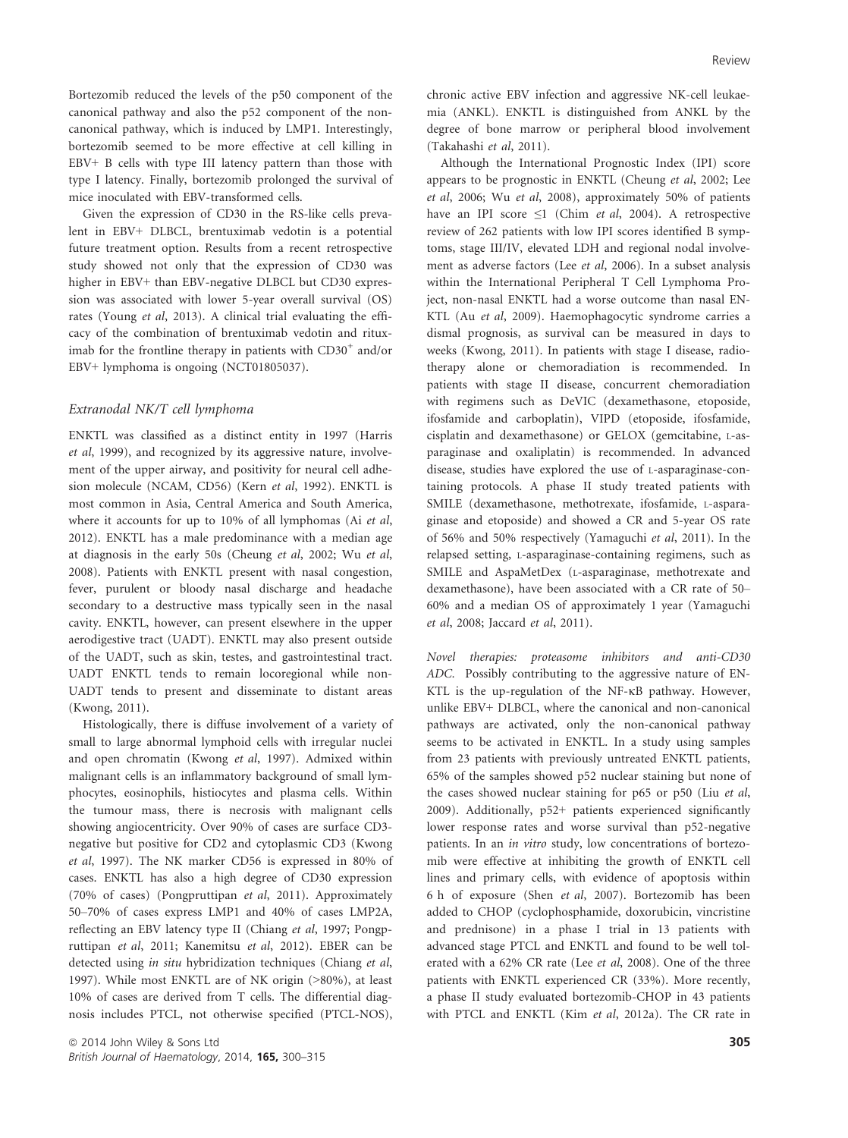Bortezomib reduced the levels of the p50 component of the canonical pathway and also the p52 component of the noncanonical pathway, which is induced by LMP1. Interestingly, bortezomib seemed to be more effective at cell killing in EBV+ B cells with type III latency pattern than those with type I latency. Finally, bortezomib prolonged the survival of mice inoculated with EBV-transformed cells.

Given the expression of CD30 in the RS-like cells prevalent in EBV+ DLBCL, brentuximab vedotin is a potential future treatment option. Results from a recent retrospective study showed not only that the expression of CD30 was higher in EBV+ than EBV-negative DLBCL but CD30 expression was associated with lower 5-year overall survival (OS) rates (Young et al, 2013). A clinical trial evaluating the efficacy of the combination of brentuximab vedotin and rituximab for the frontline therapy in patients with CD30<sup>+</sup> and/or EBV+ lymphoma is ongoing (NCT01805037).

#### Extranodal NK/T cell lymphoma

ENKTL was classified as a distinct entity in 1997 (Harris et al, 1999), and recognized by its aggressive nature, involvement of the upper airway, and positivity for neural cell adhesion molecule (NCAM, CD56) (Kern et al, 1992). ENKTL is most common in Asia, Central America and South America, where it accounts for up to 10% of all lymphomas (Ai et al, 2012). ENKTL has a male predominance with a median age at diagnosis in the early 50s (Cheung et al, 2002; Wu et al, 2008). Patients with ENKTL present with nasal congestion, fever, purulent or bloody nasal discharge and headache secondary to a destructive mass typically seen in the nasal cavity. ENKTL, however, can present elsewhere in the upper aerodigestive tract (UADT). ENKTL may also present outside of the UADT, such as skin, testes, and gastrointestinal tract. UADT ENKTL tends to remain locoregional while non-UADT tends to present and disseminate to distant areas (Kwong, 2011).

Histologically, there is diffuse involvement of a variety of small to large abnormal lymphoid cells with irregular nuclei and open chromatin (Kwong et al, 1997). Admixed within malignant cells is an inflammatory background of small lymphocytes, eosinophils, histiocytes and plasma cells. Within the tumour mass, there is necrosis with malignant cells showing angiocentricity. Over 90% of cases are surface CD3 negative but positive for CD2 and cytoplasmic CD3 (Kwong et al, 1997). The NK marker CD56 is expressed in 80% of cases. ENKTL has also a high degree of CD30 expression (70% of cases) (Pongpruttipan et al, 2011). Approximately 50–70% of cases express LMP1 and 40% of cases LMP2A, reflecting an EBV latency type II (Chiang et al, 1997; Pongpruttipan et al, 2011; Kanemitsu et al, 2012). EBER can be detected using in situ hybridization techniques (Chiang et al, 1997). While most ENKTL are of NK origin (>80%), at least 10% of cases are derived from T cells. The differential diagnosis includes PTCL, not otherwise specified (PTCL-NOS),

chronic active EBV infection and aggressive NK-cell leukaemia (ANKL). ENKTL is distinguished from ANKL by the degree of bone marrow or peripheral blood involvement (Takahashi et al, 2011).

Although the International Prognostic Index (IPI) score appears to be prognostic in ENKTL (Cheung et al, 2002; Lee et al, 2006; Wu et al, 2008), approximately 50% of patients have an IPI score  $\leq 1$  (Chim *et al*, 2004). A retrospective review of 262 patients with low IPI scores identified B symptoms, stage III/IV, elevated LDH and regional nodal involvement as adverse factors (Lee et al, 2006). In a subset analysis within the International Peripheral T Cell Lymphoma Project, non-nasal ENKTL had a worse outcome than nasal EN-KTL (Au et al, 2009). Haemophagocytic syndrome carries a dismal prognosis, as survival can be measured in days to weeks (Kwong, 2011). In patients with stage I disease, radiotherapy alone or chemoradiation is recommended. In patients with stage II disease, concurrent chemoradiation with regimens such as DeVIC (dexamethasone, etoposide, ifosfamide and carboplatin), VIPD (etoposide, ifosfamide, cisplatin and dexamethasone) or GELOX (gemcitabine, L-asparaginase and oxaliplatin) is recommended. In advanced disease, studies have explored the use of L-asparaginase-containing protocols. A phase II study treated patients with SMILE (dexamethasone, methotrexate, ifosfamide, L-asparaginase and etoposide) and showed a CR and 5-year OS rate of 56% and 50% respectively (Yamaguchi et al, 2011). In the relapsed setting, L-asparaginase-containing regimens, such as SMILE and AspaMetDex (L-asparaginase, methotrexate and dexamethasone), have been associated with a CR rate of 50– 60% and a median OS of approximately 1 year (Yamaguchi et al, 2008; Jaccard et al, 2011).

Novel therapies: proteasome inhibitors and anti-CD30 ADC. Possibly contributing to the aggressive nature of EN-KTL is the up-regulation of the NF-KB pathway. However, unlike EBV+ DLBCL, where the canonical and non-canonical pathways are activated, only the non-canonical pathway seems to be activated in ENKTL. In a study using samples from 23 patients with previously untreated ENKTL patients, 65% of the samples showed p52 nuclear staining but none of the cases showed nuclear staining for p65 or p50 (Liu et al, 2009). Additionally, p52+ patients experienced significantly lower response rates and worse survival than p52-negative patients. In an in vitro study, low concentrations of bortezomib were effective at inhibiting the growth of ENKTL cell lines and primary cells, with evidence of apoptosis within 6 h of exposure (Shen et al, 2007). Bortezomib has been added to CHOP (cyclophosphamide, doxorubicin, vincristine and prednisone) in a phase I trial in 13 patients with advanced stage PTCL and ENKTL and found to be well tolerated with a 62% CR rate (Lee et al, 2008). One of the three patients with ENKTL experienced CR (33%). More recently, a phase II study evaluated bortezomib-CHOP in 43 patients with PTCL and ENKTL (Kim et al, 2012a). The CR rate in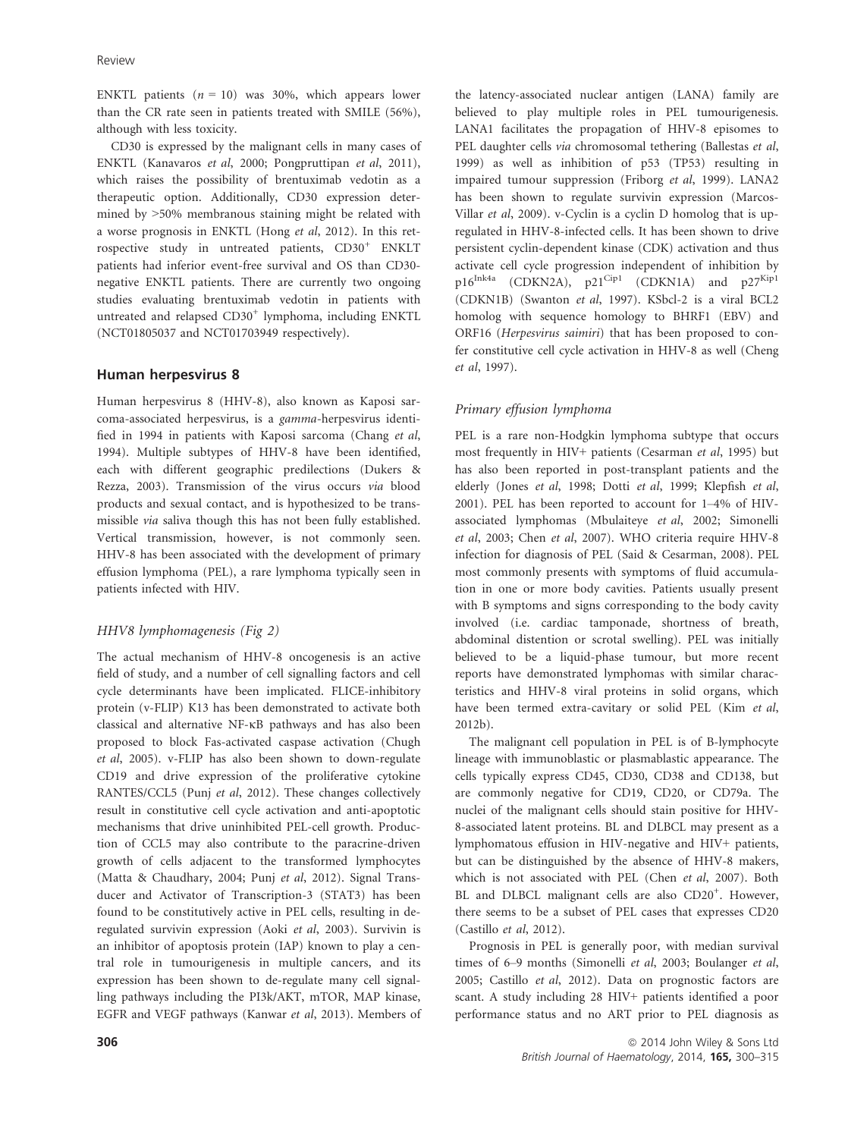#### Review

ENKTL patients  $(n = 10)$  was 30%, which appears lower than the CR rate seen in patients treated with SMILE (56%), although with less toxicity.

CD30 is expressed by the malignant cells in many cases of ENKTL (Kanavaros et al, 2000; Pongpruttipan et al, 2011), which raises the possibility of brentuximab vedotin as a therapeutic option. Additionally, CD30 expression determined by >50% membranous staining might be related with a worse prognosis in ENKTL (Hong et al, 2012). In this retrospective study in untreated patients, CD30<sup>+</sup> ENKLT patients had inferior event-free survival and OS than CD30 negative ENKTL patients. There are currently two ongoing studies evaluating brentuximab vedotin in patients with untreated and relapsed CD30<sup>+</sup> lymphoma, including ENKTL (NCT01805037 and NCT01703949 respectively).

#### Human herpesvirus 8

Human herpesvirus 8 (HHV-8), also known as Kaposi sarcoma-associated herpesvirus, is a gamma-herpesvirus identified in 1994 in patients with Kaposi sarcoma (Chang et al, 1994). Multiple subtypes of HHV-8 have been identified, each with different geographic predilections (Dukers & Rezza, 2003). Transmission of the virus occurs via blood products and sexual contact, and is hypothesized to be transmissible via saliva though this has not been fully established. Vertical transmission, however, is not commonly seen. HHV-8 has been associated with the development of primary effusion lymphoma (PEL), a rare lymphoma typically seen in patients infected with HIV.

#### HHV8 lymphomagenesis (Fig 2)

The actual mechanism of HHV-8 oncogenesis is an active field of study, and a number of cell signalling factors and cell cycle determinants have been implicated. FLICE-inhibitory protein (v-FLIP) K13 has been demonstrated to activate both classical and alternative  $NF-\kappa B$  pathways and has also been proposed to block Fas-activated caspase activation (Chugh et al, 2005). v-FLIP has also been shown to down-regulate CD19 and drive expression of the proliferative cytokine RANTES/CCL5 (Punj et al, 2012). These changes collectively result in constitutive cell cycle activation and anti-apoptotic mechanisms that drive uninhibited PEL-cell growth. Production of CCL5 may also contribute to the paracrine-driven growth of cells adjacent to the transformed lymphocytes (Matta & Chaudhary, 2004; Punj et al, 2012). Signal Transducer and Activator of Transcription-3 (STAT3) has been found to be constitutively active in PEL cells, resulting in deregulated survivin expression (Aoki et al, 2003). Survivin is an inhibitor of apoptosis protein (IAP) known to play a central role in tumourigenesis in multiple cancers, and its expression has been shown to de-regulate many cell signalling pathways including the PI3k/AKT, mTOR, MAP kinase, EGFR and VEGF pathways (Kanwar et al, 2013). Members of the latency-associated nuclear antigen (LANA) family are believed to play multiple roles in PEL tumourigenesis. LANA1 facilitates the propagation of HHV-8 episomes to PEL daughter cells via chromosomal tethering (Ballestas et al, 1999) as well as inhibition of p53 (TP53) resulting in impaired tumour suppression (Friborg et al, 1999). LANA2 has been shown to regulate survivin expression (Marcos-Villar et al, 2009). v-Cyclin is a cyclin D homolog that is upregulated in HHV-8-infected cells. It has been shown to drive persistent cyclin-dependent kinase (CDK) activation and thus activate cell cycle progression independent of inhibition by  $p16^{Ink4a}$  (CDKN2A),  $p21^{Cip1}$  (CDKN1A) and  $p27^{Kip1}$ (CDKN1B) (Swanton et al, 1997). KSbcl-2 is a viral BCL2 homolog with sequence homology to BHRF1 (EBV) and ORF16 (Herpesvirus saimiri) that has been proposed to confer constitutive cell cycle activation in HHV-8 as well (Cheng et al, 1997).

# Primary effusion lymphoma

PEL is a rare non-Hodgkin lymphoma subtype that occurs most frequently in HIV+ patients (Cesarman et al, 1995) but has also been reported in post-transplant patients and the elderly (Jones et al, 1998; Dotti et al, 1999; Klepfish et al, 2001). PEL has been reported to account for 1–4% of HIVassociated lymphomas (Mbulaiteye et al, 2002; Simonelli et al, 2003; Chen et al, 2007). WHO criteria require HHV-8 infection for diagnosis of PEL (Said & Cesarman, 2008). PEL most commonly presents with symptoms of fluid accumulation in one or more body cavities. Patients usually present with B symptoms and signs corresponding to the body cavity involved (i.e. cardiac tamponade, shortness of breath, abdominal distention or scrotal swelling). PEL was initially believed to be a liquid-phase tumour, but more recent reports have demonstrated lymphomas with similar characteristics and HHV-8 viral proteins in solid organs, which have been termed extra-cavitary or solid PEL (Kim et al, 2012b).

The malignant cell population in PEL is of B-lymphocyte lineage with immunoblastic or plasmablastic appearance. The cells typically express CD45, CD30, CD38 and CD138, but are commonly negative for CD19, CD20, or CD79a. The nuclei of the malignant cells should stain positive for HHV-8-associated latent proteins. BL and DLBCL may present as a lymphomatous effusion in HIV-negative and HIV+ patients, but can be distinguished by the absence of HHV-8 makers, which is not associated with PEL (Chen et al, 2007). Both BL and DLBCL malignant cells are also CD20<sup>+</sup>. However, there seems to be a subset of PEL cases that expresses CD20 (Castillo et al, 2012).

Prognosis in PEL is generally poor, with median survival times of 6–9 months (Simonelli et al, 2003; Boulanger et al, 2005; Castillo et al, 2012). Data on prognostic factors are scant. A study including 28 HIV+ patients identified a poor performance status and no ART prior to PEL diagnosis as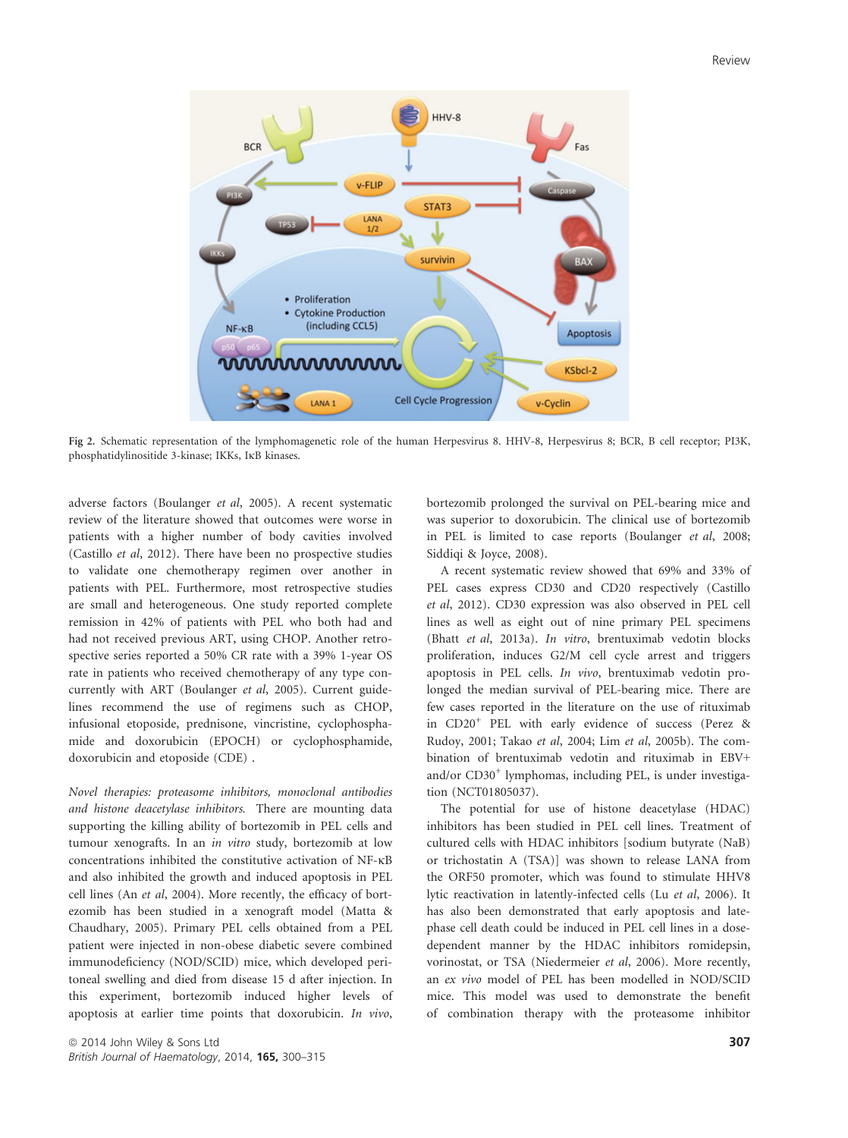

Fig 2. Schematic representation of the lymphomagenetic role of the human Herpesvirus 8. HHV-8, Herpesvirus 8; BCR, B cell receptor; PI3K, phosphatidylinositide 3-kinase; IKKs, IKB kinases.

adverse factors (Boulanger et al, 2005). A recent systematic review of the literature showed that outcomes were worse in patients with a higher number of body cavities involved (Castillo et al, 2012). There have been no prospective studies to validate one chemotherapy regimen over another in patients with PEL. Furthermore, most retrospective studies are small and heterogeneous. One study reported complete remission in 42% of patients with PEL who both had and had not received previous ART, using CHOP. Another retrospective series reported a 50% CR rate with a 39% 1-year OS rate in patients who received chemotherapy of any type concurrently with ART (Boulanger et al, 2005). Current guidelines recommend the use of regimens such as CHOP, infusional etoposide, prednisone, vincristine, cyclophosphamide and doxorubicin (EPOCH) or cyclophosphamide, doxorubicin and etoposide (CDE) .

Novel therapies: proteasome inhibitors, monoclonal antibodies and histone deacetylase inhibitors. There are mounting data supporting the killing ability of bortezomib in PEL cells and tumour xenografts. In an in vitro study, bortezomib at low concentrations inhibited the constitutive activation of  $NF-\kappa B$ and also inhibited the growth and induced apoptosis in PEL cell lines (An et al, 2004). More recently, the efficacy of bortezomib has been studied in a xenograft model (Matta & Chaudhary, 2005). Primary PEL cells obtained from a PEL patient were injected in non-obese diabetic severe combined immunodeficiency (NOD/SCID) mice, which developed peritoneal swelling and died from disease 15 d after injection. In this experiment, bortezomib induced higher levels of apoptosis at earlier time points that doxorubicin. In vivo,

 $\degree$  2014 John Wiley & Sons Ltd  $\degree$  307 British Journal of Haematology, 2014, 165, 300–315

bortezomib prolonged the survival on PEL-bearing mice and was superior to doxorubicin. The clinical use of bortezomib in PEL is limited to case reports (Boulanger et al, 2008; Siddiqi & Joyce, 2008).

A recent systematic review showed that 69% and 33% of PEL cases express CD30 and CD20 respectively (Castillo et al, 2012). CD30 expression was also observed in PEL cell lines as well as eight out of nine primary PEL specimens (Bhatt et al, 2013a). In vitro, brentuximab vedotin blocks proliferation, induces G2/M cell cycle arrest and triggers apoptosis in PEL cells. In vivo, brentuximab vedotin prolonged the median survival of PEL-bearing mice. There are few cases reported in the literature on the use of rituximab in CD20<sup>+</sup> PEL with early evidence of success (Perez & Rudoy, 2001; Takao et al, 2004; Lim et al, 2005b). The combination of brentuximab vedotin and rituximab in EBV+ and/or CD30<sup>+</sup> lymphomas, including PEL, is under investigation (NCT01805037).

The potential for use of histone deacetylase (HDAC) inhibitors has been studied in PEL cell lines. Treatment of cultured cells with HDAC inhibitors [sodium butyrate (NaB) or trichostatin A (TSA)] was shown to release LANA from the ORF50 promoter, which was found to stimulate HHV8 lytic reactivation in latently-infected cells (Lu et al, 2006). It has also been demonstrated that early apoptosis and latephase cell death could be induced in PEL cell lines in a dosedependent manner by the HDAC inhibitors romidepsin, vorinostat, or TSA (Niedermeier et al, 2006). More recently, an ex vivo model of PEL has been modelled in NOD/SCID mice. This model was used to demonstrate the benefit of combination therapy with the proteasome inhibitor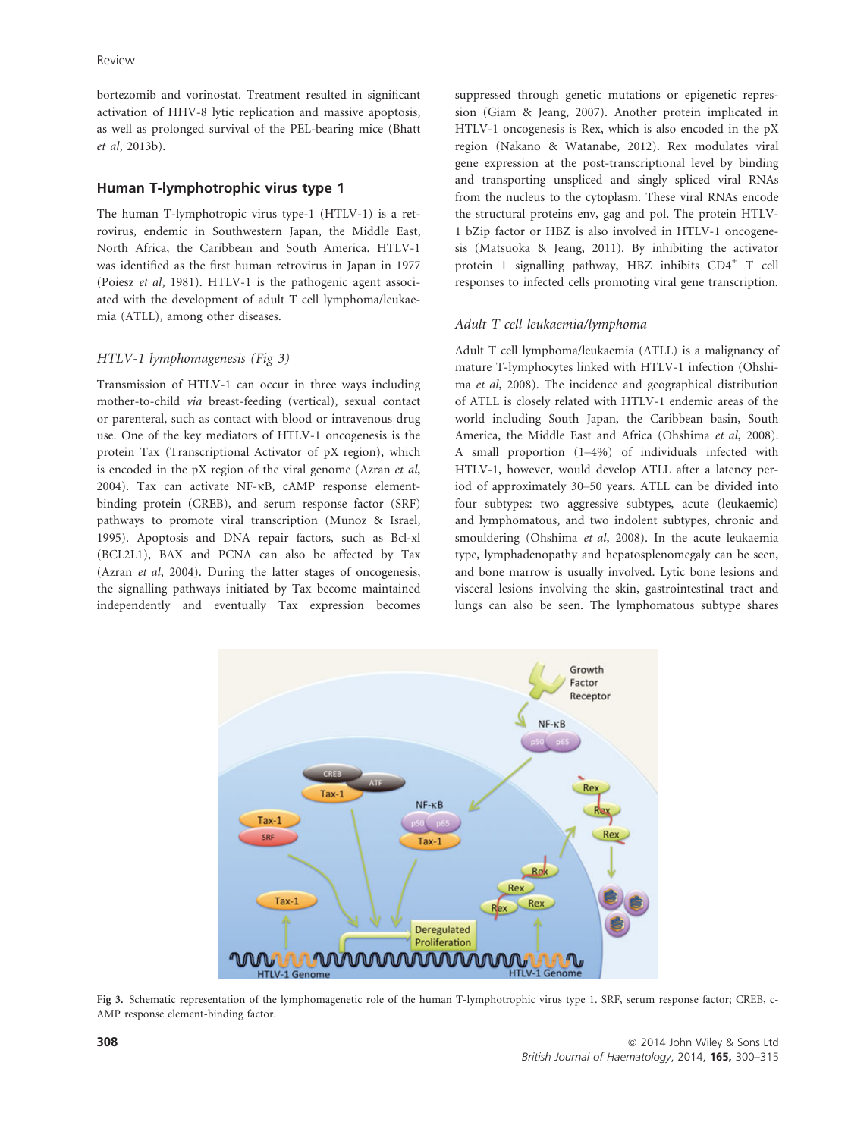bortezomib and vorinostat. Treatment resulted in significant activation of HHV-8 lytic replication and massive apoptosis, as well as prolonged survival of the PEL-bearing mice (Bhatt et al, 2013b).

# Human T-lymphotrophic virus type 1

The human T-lymphotropic virus type-1 (HTLV-1) is a retrovirus, endemic in Southwestern Japan, the Middle East, North Africa, the Caribbean and South America. HTLV-1 was identified as the first human retrovirus in Japan in 1977 (Poiesz et al, 1981). HTLV-1 is the pathogenic agent associated with the development of adult T cell lymphoma/leukaemia (ATLL), among other diseases.

# HTLV-1 lymphomagenesis (Fig 3)

Transmission of HTLV-1 can occur in three ways including mother-to-child via breast-feeding (vertical), sexual contact or parenteral, such as contact with blood or intravenous drug use. One of the key mediators of HTLV-1 oncogenesis is the protein Tax (Transcriptional Activator of pX region), which is encoded in the pX region of the viral genome (Azran et al, 2004). Tax can activate NF-KB, cAMP response elementbinding protein (CREB), and serum response factor (SRF) pathways to promote viral transcription (Munoz & Israel, 1995). Apoptosis and DNA repair factors, such as Bcl-xl (BCL2L1), BAX and PCNA can also be affected by Tax (Azran et al, 2004). During the latter stages of oncogenesis, the signalling pathways initiated by Tax become maintained independently and eventually Tax expression becomes suppressed through genetic mutations or epigenetic repression (Giam & Jeang, 2007). Another protein implicated in HTLV-1 oncogenesis is Rex, which is also encoded in the pX region (Nakano & Watanabe, 2012). Rex modulates viral gene expression at the post-transcriptional level by binding and transporting unspliced and singly spliced viral RNAs from the nucleus to the cytoplasm. These viral RNAs encode the structural proteins env, gag and pol. The protein HTLV-1 bZip factor or HBZ is also involved in HTLV-1 oncogenesis (Matsuoka & Jeang, 2011). By inhibiting the activator protein 1 signalling pathway, HBZ inhibits CD4<sup>+</sup> T cell responses to infected cells promoting viral gene transcription.

# Adult T cell leukaemia/lymphoma

Adult T cell lymphoma/leukaemia (ATLL) is a malignancy of mature T-lymphocytes linked with HTLV-1 infection (Ohshima et al, 2008). The incidence and geographical distribution of ATLL is closely related with HTLV-1 endemic areas of the world including South Japan, the Caribbean basin, South America, the Middle East and Africa (Ohshima et al, 2008). A small proportion (1–4%) of individuals infected with HTLV-1, however, would develop ATLL after a latency period of approximately 30–50 years. ATLL can be divided into four subtypes: two aggressive subtypes, acute (leukaemic) and lymphomatous, and two indolent subtypes, chronic and smouldering (Ohshima et al, 2008). In the acute leukaemia type, lymphadenopathy and hepatosplenomegaly can be seen, and bone marrow is usually involved. Lytic bone lesions and visceral lesions involving the skin, gastrointestinal tract and lungs can also be seen. The lymphomatous subtype shares



Fig 3. Schematic representation of the lymphomagenetic role of the human T-lymphotrophic virus type 1. SRF, serum response factor; CREB, c-AMP response element-binding factor.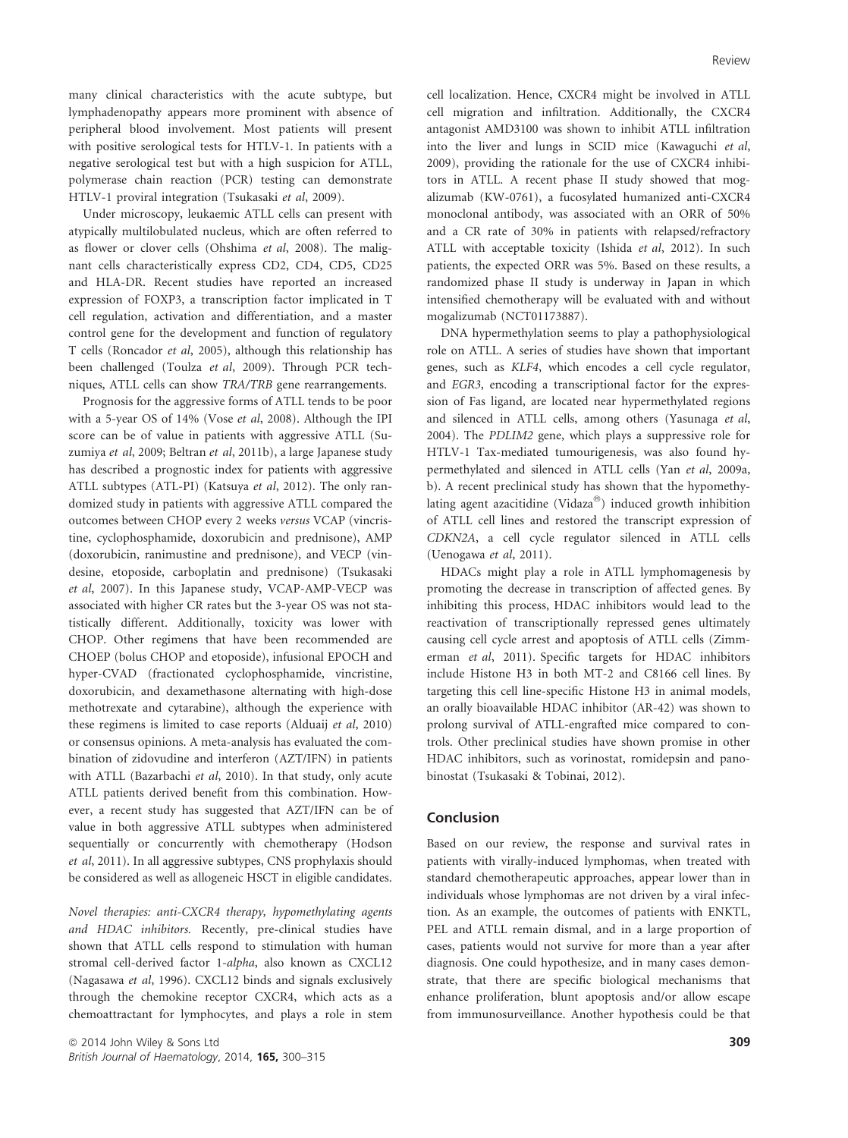many clinical characteristics with the acute subtype, but lymphadenopathy appears more prominent with absence of peripheral blood involvement. Most patients will present with positive serological tests for HTLV-1. In patients with a negative serological test but with a high suspicion for ATLL, polymerase chain reaction (PCR) testing can demonstrate HTLV-1 proviral integration (Tsukasaki et al, 2009).

Under microscopy, leukaemic ATLL cells can present with atypically multilobulated nucleus, which are often referred to as flower or clover cells (Ohshima et al, 2008). The malignant cells characteristically express CD2, CD4, CD5, CD25 and HLA-DR. Recent studies have reported an increased expression of FOXP3, a transcription factor implicated in T cell regulation, activation and differentiation, and a master control gene for the development and function of regulatory T cells (Roncador et al, 2005), although this relationship has been challenged (Toulza et al, 2009). Through PCR techniques, ATLL cells can show TRA/TRB gene rearrangements.

Prognosis for the aggressive forms of ATLL tends to be poor with a 5-year OS of 14% (Vose et al, 2008). Although the IPI score can be of value in patients with aggressive ATLL (Suzumiya et al, 2009; Beltran et al, 2011b), a large Japanese study has described a prognostic index for patients with aggressive ATLL subtypes (ATL-PI) (Katsuya et al, 2012). The only randomized study in patients with aggressive ATLL compared the outcomes between CHOP every 2 weeks versus VCAP (vincristine, cyclophosphamide, doxorubicin and prednisone), AMP (doxorubicin, ranimustine and prednisone), and VECP (vindesine, etoposide, carboplatin and prednisone) (Tsukasaki et al, 2007). In this Japanese study, VCAP-AMP-VECP was associated with higher CR rates but the 3-year OS was not statistically different. Additionally, toxicity was lower with CHOP. Other regimens that have been recommended are CHOEP (bolus CHOP and etoposide), infusional EPOCH and hyper-CVAD (fractionated cyclophosphamide, vincristine, doxorubicin, and dexamethasone alternating with high-dose methotrexate and cytarabine), although the experience with these regimens is limited to case reports (Alduaij et al, 2010) or consensus opinions. A meta-analysis has evaluated the combination of zidovudine and interferon (AZT/IFN) in patients with ATLL (Bazarbachi et al, 2010). In that study, only acute ATLL patients derived benefit from this combination. However, a recent study has suggested that AZT/IFN can be of value in both aggressive ATLL subtypes when administered sequentially or concurrently with chemotherapy (Hodson et al, 2011). In all aggressive subtypes, CNS prophylaxis should be considered as well as allogeneic HSCT in eligible candidates.

Novel therapies: anti-CXCR4 therapy, hypomethylating agents and HDAC inhibitors. Recently, pre-clinical studies have shown that ATLL cells respond to stimulation with human stromal cell-derived factor 1-alpha, also known as CXCL12 (Nagasawa et al, 1996). CXCL12 binds and signals exclusively through the chemokine receptor CXCR4, which acts as a chemoattractant for lymphocytes, and plays a role in stem cell localization. Hence, CXCR4 might be involved in ATLL cell migration and infiltration. Additionally, the CXCR4 antagonist AMD3100 was shown to inhibit ATLL infiltration into the liver and lungs in SCID mice (Kawaguchi et al, 2009), providing the rationale for the use of CXCR4 inhibitors in ATLL. A recent phase II study showed that mogalizumab (KW-0761), a fucosylated humanized anti-CXCR4 monoclonal antibody, was associated with an ORR of 50% and a CR rate of 30% in patients with relapsed/refractory ATLL with acceptable toxicity (Ishida et al, 2012). In such patients, the expected ORR was 5%. Based on these results, a randomized phase II study is underway in Japan in which intensified chemotherapy will be evaluated with and without mogalizumab (NCT01173887).

DNA hypermethylation seems to play a pathophysiological role on ATLL. A series of studies have shown that important genes, such as KLF4, which encodes a cell cycle regulator, and EGR3, encoding a transcriptional factor for the expression of Fas ligand, are located near hypermethylated regions and silenced in ATLL cells, among others (Yasunaga et al, 2004). The PDLIM2 gene, which plays a suppressive role for HTLV-1 Tax-mediated tumourigenesis, was also found hypermethylated and silenced in ATLL cells (Yan et al, 2009a, b). A recent preclinical study has shown that the hypomethylating agent azacitidine (Vidaza $\circ$ ) induced growth inhibition of ATLL cell lines and restored the transcript expression of CDKN2A, a cell cycle regulator silenced in ATLL cells (Uenogawa et al, 2011).

HDACs might play a role in ATLL lymphomagenesis by promoting the decrease in transcription of affected genes. By inhibiting this process, HDAC inhibitors would lead to the reactivation of transcriptionally repressed genes ultimately causing cell cycle arrest and apoptosis of ATLL cells (Zimmerman et al, 2011). Specific targets for HDAC inhibitors include Histone H3 in both MT-2 and C8166 cell lines. By targeting this cell line-specific Histone H3 in animal models, an orally bioavailable HDAC inhibitor (AR-42) was shown to prolong survival of ATLL-engrafted mice compared to controls. Other preclinical studies have shown promise in other HDAC inhibitors, such as vorinostat, romidepsin and panobinostat (Tsukasaki & Tobinai, 2012).

#### Conclusion

Based on our review, the response and survival rates in patients with virally-induced lymphomas, when treated with standard chemotherapeutic approaches, appear lower than in individuals whose lymphomas are not driven by a viral infection. As an example, the outcomes of patients with ENKTL, PEL and ATLL remain dismal, and in a large proportion of cases, patients would not survive for more than a year after diagnosis. One could hypothesize, and in many cases demonstrate, that there are specific biological mechanisms that enhance proliferation, blunt apoptosis and/or allow escape from immunosurveillance. Another hypothesis could be that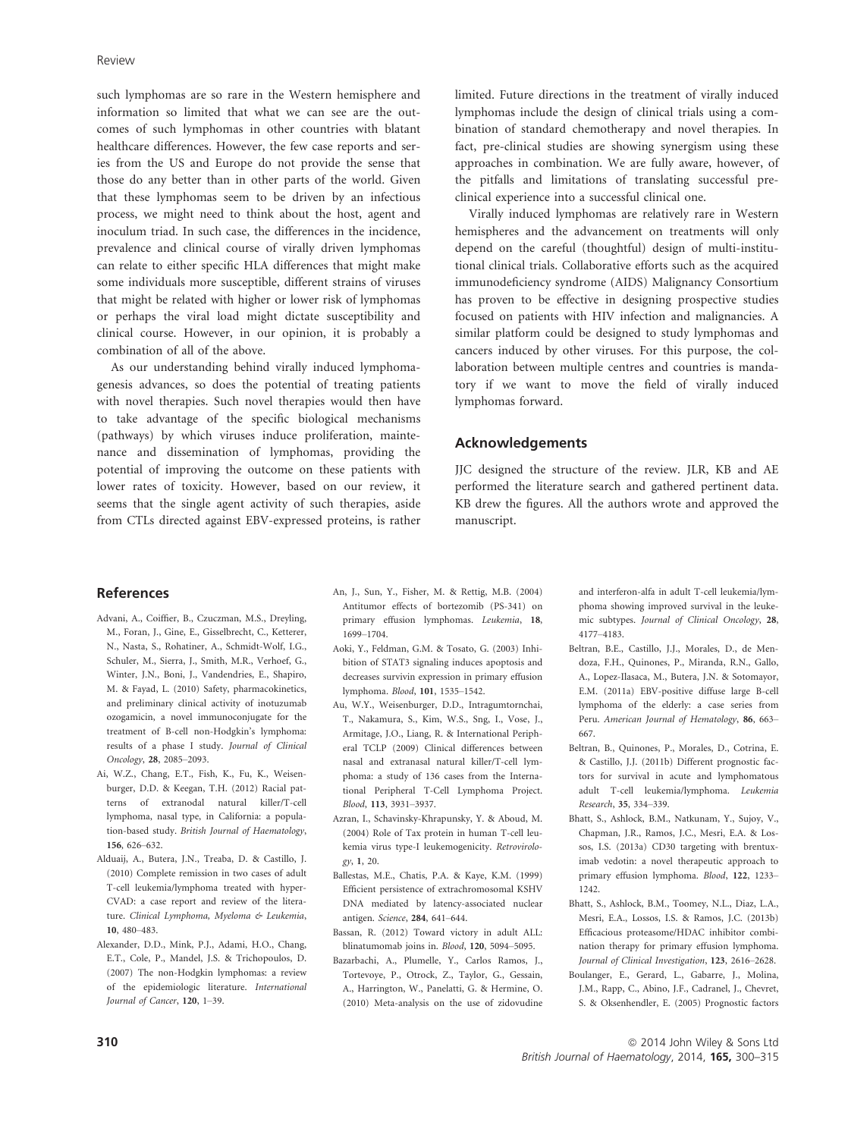such lymphomas are so rare in the Western hemisphere and information so limited that what we can see are the outcomes of such lymphomas in other countries with blatant healthcare differences. However, the few case reports and series from the US and Europe do not provide the sense that those do any better than in other parts of the world. Given that these lymphomas seem to be driven by an infectious process, we might need to think about the host, agent and inoculum triad. In such case, the differences in the incidence, prevalence and clinical course of virally driven lymphomas can relate to either specific HLA differences that might make some individuals more susceptible, different strains of viruses that might be related with higher or lower risk of lymphomas or perhaps the viral load might dictate susceptibility and clinical course. However, in our opinion, it is probably a combination of all of the above.

As our understanding behind virally induced lymphomagenesis advances, so does the potential of treating patients with novel therapies. Such novel therapies would then have to take advantage of the specific biological mechanisms (pathways) by which viruses induce proliferation, maintenance and dissemination of lymphomas, providing the potential of improving the outcome on these patients with lower rates of toxicity. However, based on our review, it seems that the single agent activity of such therapies, aside from CTLs directed against EBV-expressed proteins, is rather limited. Future directions in the treatment of virally induced lymphomas include the design of clinical trials using a combination of standard chemotherapy and novel therapies. In fact, pre-clinical studies are showing synergism using these approaches in combination. We are fully aware, however, of the pitfalls and limitations of translating successful preclinical experience into a successful clinical one.

Virally induced lymphomas are relatively rare in Western hemispheres and the advancement on treatments will only depend on the careful (thoughtful) design of multi-institutional clinical trials. Collaborative efforts such as the acquired immunodeficiency syndrome (AIDS) Malignancy Consortium has proven to be effective in designing prospective studies focused on patients with HIV infection and malignancies. A similar platform could be designed to study lymphomas and cancers induced by other viruses. For this purpose, the collaboration between multiple centres and countries is mandatory if we want to move the field of virally induced lymphomas forward.

# Acknowledgements

JJC designed the structure of the review. JLR, KB and AE performed the literature search and gathered pertinent data. KB drew the figures. All the authors wrote and approved the manuscript.

# References

- Advani, A., Coiffier, B., Czuczman, M.S., Dreyling, M., Foran, J., Gine, E., Gisselbrecht, C., Ketterer, N., Nasta, S., Rohatiner, A., Schmidt-Wolf, I.G., Schuler, M., Sierra, J., Smith, M.R., Verhoef, G., Winter, J.N., Boni, J., Vandendries, E., Shapiro, M. & Fayad, L. (2010) Safety, pharmacokinetics, and preliminary clinical activity of inotuzumab ozogamicin, a novel immunoconjugate for the treatment of B-cell non-Hodgkin's lymphoma: results of a phase I study. Journal of Clinical Oncology, 28, 2085–2093.
- Ai, W.Z., Chang, E.T., Fish, K., Fu, K., Weisenburger, D.D. & Keegan, T.H. (2012) Racial patterns of extranodal natural killer/T-cell lymphoma, nasal type, in California: a population-based study. British Journal of Haematology, 156, 626–632.
- Alduaij, A., Butera, J.N., Treaba, D. & Castillo, J. (2010) Complete remission in two cases of adult T-cell leukemia/lymphoma treated with hyper-CVAD: a case report and review of the literature. Clinical Lymphoma, Myeloma & Leukemia, 10, 480–483.
- Alexander, D.D., Mink, P.J., Adami, H.O., Chang, E.T., Cole, P., Mandel, J.S. & Trichopoulos, D. (2007) The non-Hodgkin lymphomas: a review of the epidemiologic literature. International Journal of Cancer, 120, 1–39.
- An, J., Sun, Y., Fisher, M. & Rettig, M.B. (2004) Antitumor effects of bortezomib (PS-341) on primary effusion lymphomas. Leukemia, 18, 1699–1704.
- Aoki, Y., Feldman, G.M. & Tosato, G. (2003) Inhibition of STAT3 signaling induces apoptosis and decreases survivin expression in primary effusion lymphoma. Blood, 101, 1535–1542.
- Au, W.Y., Weisenburger, D.D., Intragumtornchai, T., Nakamura, S., Kim, W.S., Sng, I., Vose, J., Armitage, J.O., Liang, R. & International Peripheral TCLP (2009) Clinical differences between nasal and extranasal natural killer/T-cell lymphoma: a study of 136 cases from the International Peripheral T-Cell Lymphoma Project. Blood, 113, 3931–3937.
- Azran, I., Schavinsky-Khrapunsky, Y. & Aboud, M. (2004) Role of Tax protein in human T-cell leukemia virus type-I leukemogenicity. Retrovirology, 1, 20.
- Ballestas, M.E., Chatis, P.A. & Kaye, K.M. (1999) Efficient persistence of extrachromosomal KSHV DNA mediated by latency-associated nuclear antigen. Science, 284, 641–644.
- Bassan, R. (2012) Toward victory in adult ALL: blinatumomab joins in. Blood, 120, 5094–5095.
- Bazarbachi, A., Plumelle, Y., Carlos Ramos, J., Tortevoye, P., Otrock, Z., Taylor, G., Gessain, A., Harrington, W., Panelatti, G. & Hermine, O. (2010) Meta-analysis on the use of zidovudine

and interferon-alfa in adult T-cell leukemia/lymphoma showing improved survival in the leukemic subtypes. Journal of Clinical Oncology, 28, 4177–4183.

- Beltran, B.E., Castillo, J.J., Morales, D., de Mendoza, F.H., Quinones, P., Miranda, R.N., Gallo, A., Lopez-Ilasaca, M., Butera, J.N. & Sotomayor, E.M. (2011a) EBV-positive diffuse large B-cell lymphoma of the elderly: a case series from Peru. American Journal of Hematology, 86, 663-667.
- Beltran, B., Quinones, P., Morales, D., Cotrina, E. & Castillo, J.J. (2011b) Different prognostic factors for survival in acute and lymphomatous adult T-cell leukemia/lymphoma. Leukemia Research, 35, 334–339.
- Bhatt, S., Ashlock, B.M., Natkunam, Y., Sujoy, V., Chapman, J.R., Ramos, J.C., Mesri, E.A. & Lossos, I.S. (2013a) CD30 targeting with brentuximab vedotin: a novel therapeutic approach to primary effusion lymphoma. Blood, 122, 1233–  $1242$
- Bhatt, S., Ashlock, B.M., Toomey, N.L., Diaz, L.A., Mesri, E.A., Lossos, I.S. & Ramos, J.C. (2013b) Efficacious proteasome/HDAC inhibitor combination therapy for primary effusion lymphoma. Journal of Clinical Investigation, 123, 2616–2628.
- Boulanger, E., Gerard, L., Gabarre, J., Molina, J.M., Rapp, C., Abino, J.F., Cadranel, J., Chevret, S. & Oksenhendler, E. (2005) Prognostic factors

**310 a** 2014 John Wiley & Sons Ltd British Journal of Haematology, 2014, 165, 300-315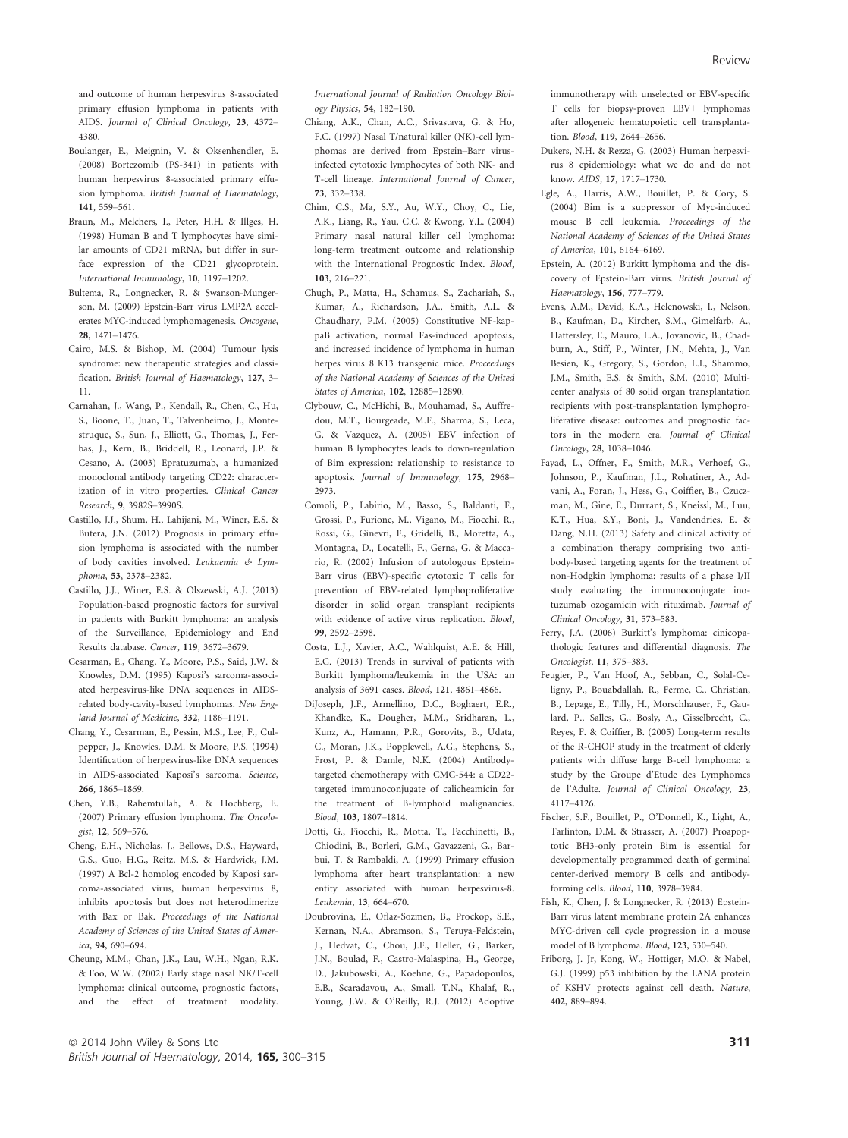and outcome of human herpesvirus 8-associated primary effusion lymphoma in patients with AIDS. Journal of Clinical Oncology, 23, 4372– 4380.

- Boulanger, E., Meignin, V. & Oksenhendler, E. (2008) Bortezomib (PS-341) in patients with human herpesvirus 8-associated primary effusion lymphoma. British Journal of Haematology, 141, 559–561.
- Braun, M., Melchers, I., Peter, H.H. & Illges, H. (1998) Human B and T lymphocytes have similar amounts of CD21 mRNA, but differ in surface expression of the CD21 glycoprotein. International Immunology, 10, 1197–1202.
- Bultema, R., Longnecker, R. & Swanson-Mungerson, M. (2009) Epstein-Barr virus LMP2A accelerates MYC-induced lymphomagenesis. Oncogene, 28, 1471–1476.
- Cairo, M.S. & Bishop, M. (2004) Tumour lysis syndrome: new therapeutic strategies and classification. British Journal of Haematology, 127, 3– 11.
- Carnahan, J., Wang, P., Kendall, R., Chen, C., Hu, S., Boone, T., Juan, T., Talvenheimo, J., Montestruque, S., Sun, J., Elliott, G., Thomas, J., Ferbas, J., Kern, B., Briddell, R., Leonard, J.P. & Cesano, A. (2003) Epratuzumab, a humanized monoclonal antibody targeting CD22: characterization of in vitro properties. Clinical Cancer Research, 9, 3982S–3990S.
- Castillo, J.J., Shum, H., Lahijani, M., Winer, E.S. & Butera, J.N. (2012) Prognosis in primary effusion lymphoma is associated with the number of body cavities involved. Leukaemia & Lymphoma, 53, 2378–2382.
- Castillo, J.J., Winer, E.S. & Olszewski, A.J. (2013) Population-based prognostic factors for survival in patients with Burkitt lymphoma: an analysis of the Surveillance, Epidemiology and End Results database. Cancer, 119, 3672–3679.
- Cesarman, E., Chang, Y., Moore, P.S., Said, J.W. & Knowles, D.M. (1995) Kaposi's sarcoma-associated herpesvirus-like DNA sequences in AIDSrelated body-cavity-based lymphomas. New England Journal of Medicine, 332, 1186–1191.
- Chang, Y., Cesarman, E., Pessin, M.S., Lee, F., Culpepper, J., Knowles, D.M. & Moore, P.S. (1994) Identification of herpesvirus-like DNA sequences in AIDS-associated Kaposi's sarcoma. Science, 266, 1865–1869.
- Chen, Y.B., Rahemtullah, A. & Hochberg, E. (2007) Primary effusion lymphoma. The Oncologist, 12, 569–576.
- Cheng, E.H., Nicholas, J., Bellows, D.S., Hayward, G.S., Guo, H.G., Reitz, M.S. & Hardwick, J.M. (1997) A Bcl-2 homolog encoded by Kaposi sarcoma-associated virus, human herpesvirus 8, inhibits apoptosis but does not heterodimerize with Bax or Bak. Proceedings of the National Academy of Sciences of the United States of America, 94, 690–694.
- Cheung, M.M., Chan, J.K., Lau, W.H., Ngan, R.K. & Foo, W.W. (2002) Early stage nasal NK/T-cell lymphoma: clinical outcome, prognostic factors, and the effect of treatment modality.

International Journal of Radiation Oncology Biology Physics, 54, 182–190.

- Chiang, A.K., Chan, A.C., Srivastava, G. & Ho, F.C. (1997) Nasal T/natural killer (NK)-cell lymphomas are derived from Epstein–Barr virusinfected cytotoxic lymphocytes of both NK- and T-cell lineage. International Journal of Cancer, 73, 332–338.
- Chim, C.S., Ma, S.Y., Au, W.Y., Choy, C., Lie, A.K., Liang, R., Yau, C.C. & Kwong, Y.L. (2004) Primary nasal natural killer cell lymphoma: long-term treatment outcome and relationship with the International Prognostic Index. Blood, 103, 216–221.
- Chugh, P., Matta, H., Schamus, S., Zachariah, S., Kumar, A., Richardson, J.A., Smith, A.L. & Chaudhary, P.M. (2005) Constitutive NF-kappaB activation, normal Fas-induced apoptosis, and increased incidence of lymphoma in human herpes virus 8 K13 transgenic mice. Proceedings of the National Academy of Sciences of the United States of America, 102, 12885–12890.
- Clybouw, C., McHichi, B., Mouhamad, S., Auffredou, M.T., Bourgeade, M.F., Sharma, S., Leca, G. & Vazquez, A. (2005) EBV infection of human B lymphocytes leads to down-regulation of Bim expression: relationship to resistance to apoptosis. Journal of Immunology, 175, 2968– 2973.
- Comoli, P., Labirio, M., Basso, S., Baldanti, F., Grossi, P., Furione, M., Vigano, M., Fiocchi, R., Rossi, G., Ginevri, F., Gridelli, B., Moretta, A., Montagna, D., Locatelli, F., Gerna, G. & Maccario, R. (2002) Infusion of autologous Epstein-Barr virus (EBV)-specific cytotoxic T cells for prevention of EBV-related lymphoproliferative disorder in solid organ transplant recipients with evidence of active virus replication. Blood, 99, 2592–2598.
- Costa, L.J., Xavier, A.C., Wahlquist, A.E. & Hill, E.G. (2013) Trends in survival of patients with Burkitt lymphoma/leukemia in the USA: an analysis of 3691 cases. Blood, 121, 4861–4866.
- DiJoseph, J.F., Armellino, D.C., Boghaert, E.R., Khandke, K., Dougher, M.M., Sridharan, L., Kunz, A., Hamann, P.R., Gorovits, B., Udata, C., Moran, J.K., Popplewell, A.G., Stephens, S., Frost, P. & Damle, N.K. (2004) Antibodytargeted chemotherapy with CMC-544: a CD22 targeted immunoconjugate of calicheamicin for the treatment of B-lymphoid malignancies. Blood, 103, 1807–1814.
- Dotti, G., Fiocchi, R., Motta, T., Facchinetti, B., Chiodini, B., Borleri, G.M., Gavazzeni, G., Barbui, T. & Rambaldi, A. (1999) Primary effusion lymphoma after heart transplantation: a new entity associated with human herpesvirus-8. Leukemia, 13, 664–670.
- Doubrovina, E., Oflaz-Sozmen, B., Prockop, S.E., Kernan, N.A., Abramson, S., Teruya-Feldstein, J., Hedvat, C., Chou, J.F., Heller, G., Barker, J.N., Boulad, F., Castro-Malaspina, H., George, D., Jakubowski, A., Koehne, G., Papadopoulos, E.B., Scaradavou, A., Small, T.N., Khalaf, R., Young, J.W. & O'Reilly, R.J. (2012) Adoptive

immunotherapy with unselected or EBV-specific T cells for biopsy-proven EBV+ lymphomas after allogeneic hematopoietic cell transplantation. Blood, 119, 2644–2656.

- Dukers, N.H. & Rezza, G. (2003) Human herpesvirus 8 epidemiology: what we do and do not know. AIDS, 17, 1717–1730.
- Egle, A., Harris, A.W., Bouillet, P. & Cory, S. (2004) Bim is a suppressor of Myc-induced mouse B cell leukemia. Proceedings of the National Academy of Sciences of the United States of America, 101, 6164–6169.
- Epstein, A. (2012) Burkitt lymphoma and the discovery of Epstein-Barr virus. British Journal of Haematology, 156, 777–779.
- Evens, A.M., David, K.A., Helenowski, I., Nelson, B., Kaufman, D., Kircher, S.M., Gimelfarb, A., Hattersley, E., Mauro, L.A., Jovanovic, B., Chadburn, A., Stiff, P., Winter, J.N., Mehta, J., Van Besien, K., Gregory, S., Gordon, L.I., Shammo, J.M., Smith, E.S. & Smith, S.M. (2010) Multicenter analysis of 80 solid organ transplantation recipients with post-transplantation lymphoproliferative disease: outcomes and prognostic factors in the modern era. Journal of Clinical Oncology, 28, 1038–1046.
- Fayad, L., Offner, F., Smith, M.R., Verhoef, G., Johnson, P., Kaufman, J.L., Rohatiner, A., Advani, A., Foran, J., Hess, G., Coiffier, B., Czuczman, M., Gine, E., Durrant, S., Kneissl, M., Luu, K.T., Hua, S.Y., Boni, J., Vandendries, E. & Dang, N.H. (2013) Safety and clinical activity of a combination therapy comprising two antibody-based targeting agents for the treatment of non-Hodgkin lymphoma: results of a phase I/II study evaluating the immunoconjugate inotuzumab ozogamicin with rituximab. Journal of Clinical Oncology, 31, 573–583.
- Ferry, J.A. (2006) Burkitt's lymphoma: cinicopathologic features and differential diagnosis. The Oncologist, 11, 375–383.
- Feugier, P., Van Hoof, A., Sebban, C., Solal-Celigny, P., Bouabdallah, R., Ferme, C., Christian, B., Lepage, E., Tilly, H., Morschhauser, F., Gaulard, P., Salles, G., Bosly, A., Gisselbrecht, C., Reyes, F. & Coiffier, B. (2005) Long-term results of the R-CHOP study in the treatment of elderly patients with diffuse large B-cell lymphoma: a study by the Groupe d'Etude des Lymphomes de l'Adulte. Journal of Clinical Oncology, 23, 4117–4126.
- Fischer, S.F., Bouillet, P., O'Donnell, K., Light, A., Tarlinton, D.M. & Strasser, A. (2007) Proapoptotic BH3-only protein Bim is essential for developmentally programmed death of germinal center-derived memory B cells and antibodyforming cells. Blood, 110, 3978–3984.
- Fish, K., Chen, J. & Longnecker, R. (2013) Epstein-Barr virus latent membrane protein 2A enhances MYC-driven cell cycle progression in a mouse model of B lymphoma. Blood, 123, 530–540.
- Friborg, J. Jr, Kong, W., Hottiger, M.O. & Nabel, G.J. (1999) p53 inhibition by the LANA protein of KSHV protects against cell death. Nature, 402, 889–894.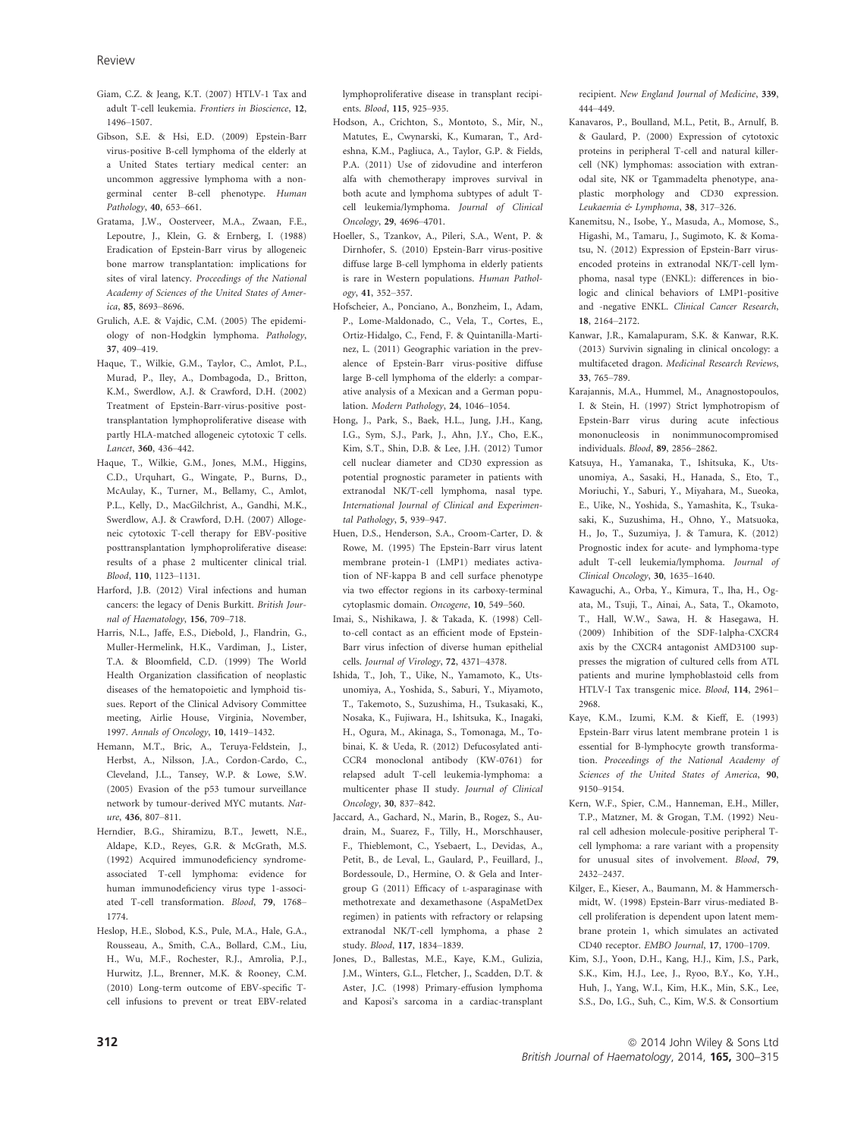- Giam, C.Z. & Jeang, K.T. (2007) HTLV-1 Tax and adult T-cell leukemia. Frontiers in Bioscience, 12, 1496–1507.
- Gibson, S.E. & Hsi, E.D. (2009) Epstein-Barr virus-positive B-cell lymphoma of the elderly at a United States tertiary medical center: an uncommon aggressive lymphoma with a nongerminal center B-cell phenotype. Human Pathology, 40, 653–661.
- Gratama, J.W., Oosterveer, M.A., Zwaan, F.E., Lepoutre, J., Klein, G. & Ernberg, I. (1988) Eradication of Epstein-Barr virus by allogeneic bone marrow transplantation: implications for sites of viral latency. Proceedings of the National Academy of Sciences of the United States of America, 85, 8693–8696.
- Grulich, A.E. & Vajdic, C.M. (2005) The epidemiology of non-Hodgkin lymphoma. Pathology, 37, 409–419.
- Haque, T., Wilkie, G.M., Taylor, C., Amlot, P.L., Murad, P., Iley, A., Dombagoda, D., Britton, K.M., Swerdlow, A.J. & Crawford, D.H. (2002) Treatment of Epstein-Barr-virus-positive posttransplantation lymphoproliferative disease with partly HLA-matched allogeneic cytotoxic T cells. Lancet, 360, 436–442.
- Haque, T., Wilkie, G.M., Jones, M.M., Higgins, C.D., Urquhart, G., Wingate, P., Burns, D., McAulay, K., Turner, M., Bellamy, C., Amlot, P.L., Kelly, D., MacGilchrist, A., Gandhi, M.K., Swerdlow, A.J. & Crawford, D.H. (2007) Allogeneic cytotoxic T-cell therapy for EBV-positive posttransplantation lymphoproliferative disease: results of a phase 2 multicenter clinical trial. Blood, 110, 1123–1131.
- Harford, J.B. (2012) Viral infections and human cancers: the legacy of Denis Burkitt. British Journal of Haematology, 156, 709–718.
- Harris, N.L., Jaffe, E.S., Diebold, J., Flandrin, G., Muller-Hermelink, H.K., Vardiman, J., Lister, T.A. & Bloomfield, C.D. (1999) The World Health Organization classification of neoplastic diseases of the hematopoietic and lymphoid tissues. Report of the Clinical Advisory Committee meeting, Airlie House, Virginia, November, 1997. Annals of Oncology, 10, 1419–1432.
- Hemann, M.T., Bric, A., Teruya-Feldstein, J., Herbst, A., Nilsson, J.A., Cordon-Cardo, C., Cleveland, J.L., Tansey, W.P. & Lowe, S.W. (2005) Evasion of the p53 tumour surveillance network by tumour-derived MYC mutants. Nature, 436, 807–811.
- Herndier, B.G., Shiramizu, B.T., Jewett, N.E., Aldape, K.D., Reyes, G.R. & McGrath, M.S. (1992) Acquired immunodeficiency syndromeassociated T-cell lymphoma: evidence for human immunodeficiency virus type 1-associated T-cell transformation. Blood, 79, 1768– 1774.
- Heslop, H.E., Slobod, K.S., Pule, M.A., Hale, G.A., Rousseau, A., Smith, C.A., Bollard, C.M., Liu, H., Wu, M.F., Rochester, R.J., Amrolia, P.J., Hurwitz, J.L., Brenner, M.K. & Rooney, C.M. (2010) Long-term outcome of EBV-specific Tcell infusions to prevent or treat EBV-related

lymphoproliferative disease in transplant recipients. Blood, 115, 925–935.

- Hodson, A., Crichton, S., Montoto, S., Mir, N., Matutes, E., Cwynarski, K., Kumaran, T., Ardeshna, K.M., Pagliuca, A., Taylor, G.P. & Fields, P.A. (2011) Use of zidovudine and interferon alfa with chemotherapy improves survival in both acute and lymphoma subtypes of adult Tcell leukemia/lymphoma. Journal of Clinical Oncology, 29, 4696–4701.
- Hoeller, S., Tzankov, A., Pileri, S.A., Went, P. & Dirnhofer, S. (2010) Epstein-Barr virus-positive diffuse large B-cell lymphoma in elderly patients is rare in Western populations. Human Pathology, 41, 352–357.
- Hofscheier, A., Ponciano, A., Bonzheim, I., Adam, P., Lome-Maldonado, C., Vela, T., Cortes, E., Ortiz-Hidalgo, C., Fend, F. & Quintanilla-Martinez, L. (2011) Geographic variation in the prevalence of Epstein-Barr virus-positive diffuse large B-cell lymphoma of the elderly: a comparative analysis of a Mexican and a German population. Modern Pathology, 24, 1046–1054.
- Hong, J., Park, S., Baek, H.L., Jung, J.H., Kang, I.G., Sym, S.J., Park, J., Ahn, J.Y., Cho, E.K., Kim, S.T., Shin, D.B. & Lee, J.H. (2012) Tumor cell nuclear diameter and CD30 expression as potential prognostic parameter in patients with extranodal NK/T-cell lymphoma, nasal type. International Journal of Clinical and Experimental Pathology, 5, 939–947.
- Huen, D.S., Henderson, S.A., Croom-Carter, D. & Rowe, M. (1995) The Epstein-Barr virus latent membrane protein-1 (LMP1) mediates activation of NF-kappa B and cell surface phenotype via two effector regions in its carboxy-terminal cytoplasmic domain. Oncogene, 10, 549–560.
- Imai, S., Nishikawa, J. & Takada, K. (1998) Cellto-cell contact as an efficient mode of Epstein-Barr virus infection of diverse human epithelial cells. Journal of Virology, 72, 4371–4378.
- Ishida, T., Joh, T., Uike, N., Yamamoto, K., Utsunomiya, A., Yoshida, S., Saburi, Y., Miyamoto, T., Takemoto, S., Suzushima, H., Tsukasaki, K., Nosaka, K., Fujiwara, H., Ishitsuka, K., Inagaki, H., Ogura, M., Akinaga, S., Tomonaga, M., Tobinai, K. & Ueda, R. (2012) Defucosylated anti-CCR4 monoclonal antibody (KW-0761) for relapsed adult T-cell leukemia-lymphoma: a multicenter phase II study. Journal of Clinical Oncology, 30, 837–842.
- Jaccard, A., Gachard, N., Marin, B., Rogez, S., Audrain, M., Suarez, F., Tilly, H., Morschhauser, F., Thieblemont, C., Ysebaert, L., Devidas, A., Petit, B., de Leval, L., Gaulard, P., Feuillard, J., Bordessoule, D., Hermine, O. & Gela and Intergroup G (2011) Efficacy of L-asparaginase with methotrexate and dexamethasone (AspaMetDex regimen) in patients with refractory or relapsing extranodal NK/T-cell lymphoma, a phase 2 study. Blood, 117, 1834–1839.
- Jones, D., Ballestas, M.E., Kaye, K.M., Gulizia, J.M., Winters, G.L., Fletcher, J., Scadden, D.T. & Aster, J.C. (1998) Primary-effusion lymphoma and Kaposi's sarcoma in a cardiac-transplant

recipient. New England Journal of Medicine, 339, 444–449.

- Kanavaros, P., Boulland, M.L., Petit, B., Arnulf, B. & Gaulard, P. (2000) Expression of cytotoxic proteins in peripheral T-cell and natural killercell (NK) lymphomas: association with extranodal site, NK or Tgammadelta phenotype, anaplastic morphology and CD30 expression. Leukaemia & Lymphoma, 38, 317–326.
- Kanemitsu, N., Isobe, Y., Masuda, A., Momose, S., Higashi, M., Tamaru, J., Sugimoto, K. & Komatsu, N. (2012) Expression of Epstein-Barr virusencoded proteins in extranodal NK/T-cell lymphoma, nasal type (ENKL): differences in biologic and clinical behaviors of LMP1-positive and -negative ENKL. Clinical Cancer Research, 18, 2164–2172.
- Kanwar, J.R., Kamalapuram, S.K. & Kanwar, R.K. (2013) Survivin signaling in clinical oncology: a multifaceted dragon. Medicinal Research Reviews, 33, 765–789.
- Karajannis, M.A., Hummel, M., Anagnostopoulos, I. & Stein, H. (1997) Strict lymphotropism of Epstein-Barr virus during acute infectious mononucleosis in nonimmunocompromised individuals. Blood, 89, 2856–2862.
- Katsuya, H., Yamanaka, T., Ishitsuka, K., Utsunomiya, A., Sasaki, H., Hanada, S., Eto, T., Moriuchi, Y., Saburi, Y., Miyahara, M., Sueoka, E., Uike, N., Yoshida, S., Yamashita, K., Tsukasaki, K., Suzushima, H., Ohno, Y., Matsuoka, H., Jo, T., Suzumiya, J. & Tamura, K. (2012) Prognostic index for acute- and lymphoma-type adult T-cell leukemia/lymphoma. Journal of Clinical Oncology, 30, 1635–1640.
- Kawaguchi, A., Orba, Y., Kimura, T., Iha, H., Ogata, M., Tsuji, T., Ainai, A., Sata, T., Okamoto, T., Hall, W.W., Sawa, H. & Hasegawa, H. (2009) Inhibition of the SDF-1alpha-CXCR4 axis by the CXCR4 antagonist AMD3100 suppresses the migration of cultured cells from ATL patients and murine lymphoblastoid cells from HTLV-I Tax transgenic mice. Blood, 114, 2961– 2968.
- Kaye, K.M., Izumi, K.M. & Kieff, E. (1993) Epstein-Barr virus latent membrane protein 1 is essential for B-lymphocyte growth transformation. Proceedings of the National Academy of Sciences of the United States of America, 90, 9150–9154.
- Kern, W.F., Spier, C.M., Hanneman, E.H., Miller, T.P., Matzner, M. & Grogan, T.M. (1992) Neural cell adhesion molecule-positive peripheral Tcell lymphoma: a rare variant with a propensity for unusual sites of involvement. Blood, 79, 2432–2437.
- Kilger, E., Kieser, A., Baumann, M. & Hammerschmidt, W. (1998) Epstein-Barr virus-mediated Bcell proliferation is dependent upon latent membrane protein 1, which simulates an activated CD40 receptor. EMBO Journal, 17, 1700–1709.
- Kim, S.J., Yoon, D.H., Kang, H.J., Kim, J.S., Park, S.K., Kim, H.J., Lee, J., Ryoo, B.Y., Ko, Y.H., Huh, J., Yang, W.I., Kim, H.K., Min, S.K., Lee, S.S., Do, I.G., Suh, C., Kim, W.S. & Consortium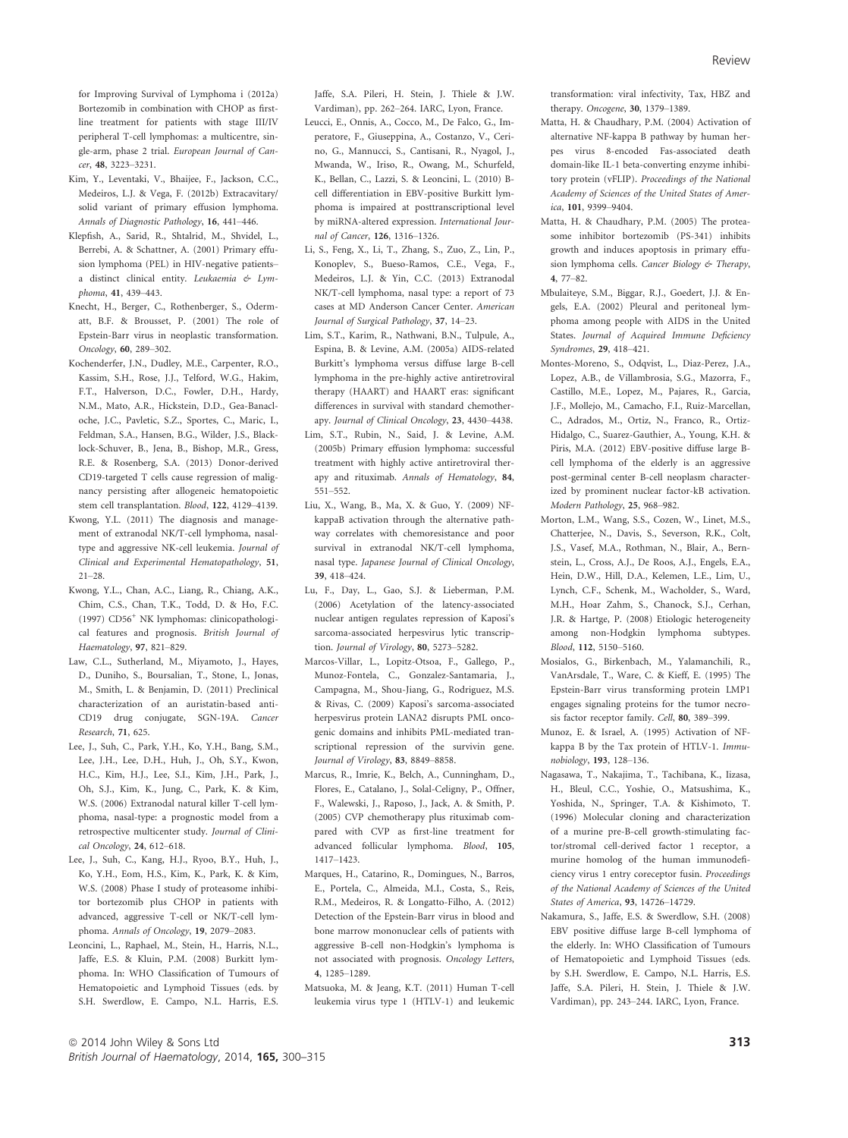for Improving Survival of Lymphoma i (2012a) Bortezomib in combination with CHOP as firstline treatment for patients with stage III/IV peripheral T-cell lymphomas: a multicentre, single-arm, phase 2 trial. European Journal of Cancer, 48, 3223–3231.

- Kim, Y., Leventaki, V., Bhaijee, F., Jackson, C.C., Medeiros, L.J. & Vega, F. (2012b) Extracavitary/ solid variant of primary effusion lymphoma. Annals of Diagnostic Pathology, 16, 441–446.
- Klepfish, A., Sarid, R., Shtalrid, M., Shvidel, L., Berrebi, A. & Schattner, A. (2001) Primary effusion lymphoma (PEL) in HIV-negative patients– a distinct clinical entity. Leukaemia & Lymphoma, 41, 439–443.
- Knecht, H., Berger, C., Rothenberger, S., Odermatt, B.F. & Brousset, P. (2001) The role of Epstein-Barr virus in neoplastic transformation. Oncology, 60, 289–302.
- Kochenderfer, J.N., Dudley, M.E., Carpenter, R.O., Kassim, S.H., Rose, J.J., Telford, W.G., Hakim, F.T., Halverson, D.C., Fowler, D.H., Hardy, N.M., Mato, A.R., Hickstein, D.D., Gea-Banacloche, J.C., Pavletic, S.Z., Sportes, C., Maric, I., Feldman, S.A., Hansen, B.G., Wilder, J.S., Blacklock-Schuver, B., Jena, B., Bishop, M.R., Gress, R.E. & Rosenberg, S.A. (2013) Donor-derived CD19-targeted T cells cause regression of malignancy persisting after allogeneic hematopoietic stem cell transplantation. Blood, 122, 4129–4139.
- Kwong, Y.L. (2011) The diagnosis and management of extranodal NK/T-cell lymphoma, nasaltype and aggressive NK-cell leukemia. Journal of Clinical and Experimental Hematopathology, 51, 21–28.
- Kwong, Y.L., Chan, A.C., Liang, R., Chiang, A.K., Chim, C.S., Chan, T.K., Todd, D. & Ho, F.C. (1997) CD56+ NK lymphomas: clinicopathological features and prognosis. British Journal of Haematology, 97, 821–829.
- Law, C.L., Sutherland, M., Miyamoto, J., Hayes, D., Duniho, S., Boursalian, T., Stone, I., Jonas, M., Smith, L. & Benjamin, D. (2011) Preclinical characterization of an auristatin-based anti-CD19 drug conjugate, SGN-19A. Cancer Research, 71, 625.
- Lee, J., Suh, C., Park, Y.H., Ko, Y.H., Bang, S.M., Lee, J.H., Lee, D.H., Huh, J., Oh, S.Y., Kwon, H.C., Kim, H.J., Lee, S.I., Kim, J.H., Park, J., Oh, S.J., Kim, K., Jung, C., Park, K. & Kim, W.S. (2006) Extranodal natural killer T-cell lymphoma, nasal-type: a prognostic model from a retrospective multicenter study. Journal of Clinical Oncology, 24, 612–618.
- Lee, J., Suh, C., Kang, H.J., Ryoo, B.Y., Huh, J., Ko, Y.H., Eom, H.S., Kim, K., Park, K. & Kim, W.S. (2008) Phase I study of proteasome inhibitor bortezomib plus CHOP in patients with advanced, aggressive T-cell or NK/T-cell lymphoma. Annals of Oncology, 19, 2079–2083.
- Leoncini, L., Raphael, M., Stein, H., Harris, N.L., Jaffe, E.S. & Kluin, P.M. (2008) Burkitt lymphoma. In: WHO Classification of Tumours of Hematopoietic and Lymphoid Tissues (eds. by S.H. Swerdlow, E. Campo, N.L. Harris, E.S.

Jaffe, S.A. Pileri, H. Stein, J. Thiele & J.W. Vardiman), pp. 262–264. IARC, Lyon, France.

- Leucci, E., Onnis, A., Cocco, M., De Falco, G., Imperatore, F., Giuseppina, A., Costanzo, V., Cerino, G., Mannucci, S., Cantisani, R., Nyagol, J., Mwanda, W., Iriso, R., Owang, M., Schurfeld, K., Bellan, C., Lazzi, S. & Leoncini, L. (2010) Bcell differentiation in EBV-positive Burkitt lymphoma is impaired at posttranscriptional level by miRNA-altered expression. International Journal of Cancer, 126, 1316–1326.
- Li, S., Feng, X., Li, T., Zhang, S., Zuo, Z., Lin, P., Konoplev, S., Bueso-Ramos, C.E., Vega, F., Medeiros, L.J. & Yin, C.C. (2013) Extranodal NK/T-cell lymphoma, nasal type: a report of 73 cases at MD Anderson Cancer Center. American Journal of Surgical Pathology, 37, 14–23.
- Lim, S.T., Karim, R., Nathwani, B.N., Tulpule, A., Espina, B. & Levine, A.M. (2005a) AIDS-related Burkitt's lymphoma versus diffuse large B-cell lymphoma in the pre-highly active antiretroviral therapy (HAART) and HAART eras: significant differences in survival with standard chemotherapy. Journal of Clinical Oncology, 23, 4430–4438.
- Lim, S.T., Rubin, N., Said, J. & Levine, A.M. (2005b) Primary effusion lymphoma: successful treatment with highly active antiretroviral therapy and rituximab. Annals of Hematology, 84, 551–552.
- Liu, X., Wang, B., Ma, X. & Guo, Y. (2009) NFkappaB activation through the alternative pathway correlates with chemoresistance and poor survival in extranodal NK/T-cell lymphoma, nasal type. Japanese Journal of Clinical Oncology, 39, 418–424.
- Lu, F., Day, L., Gao, S.J. & Lieberman, P.M. (2006) Acetylation of the latency-associated nuclear antigen regulates repression of Kaposi's sarcoma-associated herpesvirus lytic transcription. Journal of Virology, 80, 5273–5282.
- Marcos-Villar, L., Lopitz-Otsoa, F., Gallego, P., Munoz-Fontela, C., Gonzalez-Santamaria, J., Campagna, M., Shou-Jiang, G., Rodriguez, M.S. & Rivas, C. (2009) Kaposi's sarcoma-associated herpesvirus protein LANA2 disrupts PML oncogenic domains and inhibits PML-mediated transcriptional repression of the survivin gene. Journal of Virology, 83, 8849–8858.
- Marcus, R., Imrie, K., Belch, A., Cunningham, D., Flores, E., Catalano, J., Solal-Celigny, P., Offner, F., Walewski, J., Raposo, J., Jack, A. & Smith, P. (2005) CVP chemotherapy plus rituximab compared with CVP as first-line treatment for advanced follicular lymphoma. Blood, 105, 1417–1423.
- Marques, H., Catarino, R., Domingues, N., Barros, E., Portela, C., Almeida, M.I., Costa, S., Reis, R.M., Medeiros, R. & Longatto-Filho, A. (2012) Detection of the Epstein-Barr virus in blood and bone marrow mononuclear cells of patients with aggressive B-cell non-Hodgkin's lymphoma is not associated with prognosis. Oncology Letters, 4, 1285–1289.
- Matsuoka, M. & Jeang, K.T. (2011) Human T-cell leukemia virus type 1 (HTLV-1) and leukemic

transformation: viral infectivity, Tax, HBZ and therapy. Oncogene, 30, 1379–1389.

- Matta, H. & Chaudhary, P.M. (2004) Activation of alternative NF-kappa B pathway by human herpes virus 8-encoded Fas-associated death domain-like IL-1 beta-converting enzyme inhibitory protein (vFLIP). Proceedings of the National Academy of Sciences of the United States of America, 101, 9399–9404.
- Matta, H. & Chaudhary, P.M. (2005) The proteasome inhibitor bortezomib (PS-341) inhibits growth and induces apoptosis in primary effusion lymphoma cells. Cancer Biology & Therapy, 4, 77–82.
- Mbulaiteye, S.M., Biggar, R.J., Goedert, J.J. & Engels, E.A. (2002) Pleural and peritoneal lymphoma among people with AIDS in the United States. Journal of Acquired Immune Deficiency Syndromes, 29, 418–421.
- Montes-Moreno, S., Odqvist, L., Diaz-Perez, J.A., Lopez, A.B., de Villambrosia, S.G., Mazorra, F., Castillo, M.E., Lopez, M., Pajares, R., Garcia, J.F., Mollejo, M., Camacho, F.I., Ruiz-Marcellan, C., Adrados, M., Ortiz, N., Franco, R., Ortiz-Hidalgo, C., Suarez-Gauthier, A., Young, K.H. & Piris, M.A. (2012) EBV-positive diffuse large Bcell lymphoma of the elderly is an aggressive post-germinal center B-cell neoplasm characterized by prominent nuclear factor-kB activation. Modern Pathology, 25, 968–982.
- Morton, L.M., Wang, S.S., Cozen, W., Linet, M.S., Chatterjee, N., Davis, S., Severson, R.K., Colt, J.S., Vasef, M.A., Rothman, N., Blair, A., Bernstein, L., Cross, A.J., De Roos, A.J., Engels, E.A., Hein, D.W., Hill, D.A., Kelemen, L.E., Lim, U., Lynch, C.F., Schenk, M., Wacholder, S., Ward, M.H., Hoar Zahm, S., Chanock, S.J., Cerhan, J.R. & Hartge, P. (2008) Etiologic heterogeneity among non-Hodgkin lymphoma subtypes. Blood, 112, 5150–5160.
- Mosialos, G., Birkenbach, M., Yalamanchili, R., VanArsdale, T., Ware, C. & Kieff, E. (1995) The Epstein-Barr virus transforming protein LMP1 engages signaling proteins for the tumor necrosis factor receptor family. Cell, 80, 389–399.
- Munoz, E. & Israel, A. (1995) Activation of NFkappa B by the Tax protein of HTLV-1. Immunobiology, 193, 128–136.
- Nagasawa, T., Nakajima, T., Tachibana, K., Iizasa, H., Bleul, C.C., Yoshie, O., Matsushima, K., Yoshida, N., Springer, T.A. & Kishimoto, T. (1996) Molecular cloning and characterization of a murine pre-B-cell growth-stimulating factor/stromal cell-derived factor 1 receptor, a murine homolog of the human immunodeficiency virus 1 entry coreceptor fusin. Proceedings of the National Academy of Sciences of the United States of America, 93, 14726–14729.
- Nakamura, S., Jaffe, E.S. & Swerdlow, S.H. (2008) EBV positive diffuse large B-cell lymphoma of the elderly. In: WHO Classification of Tumours of Hematopoietic and Lymphoid Tissues (eds. by S.H. Swerdlow, E. Campo, N.L. Harris, E.S. Jaffe, S.A. Pileri, H. Stein, J. Thiele & J.W. Vardiman), pp. 243–244. IARC, Lyon, France.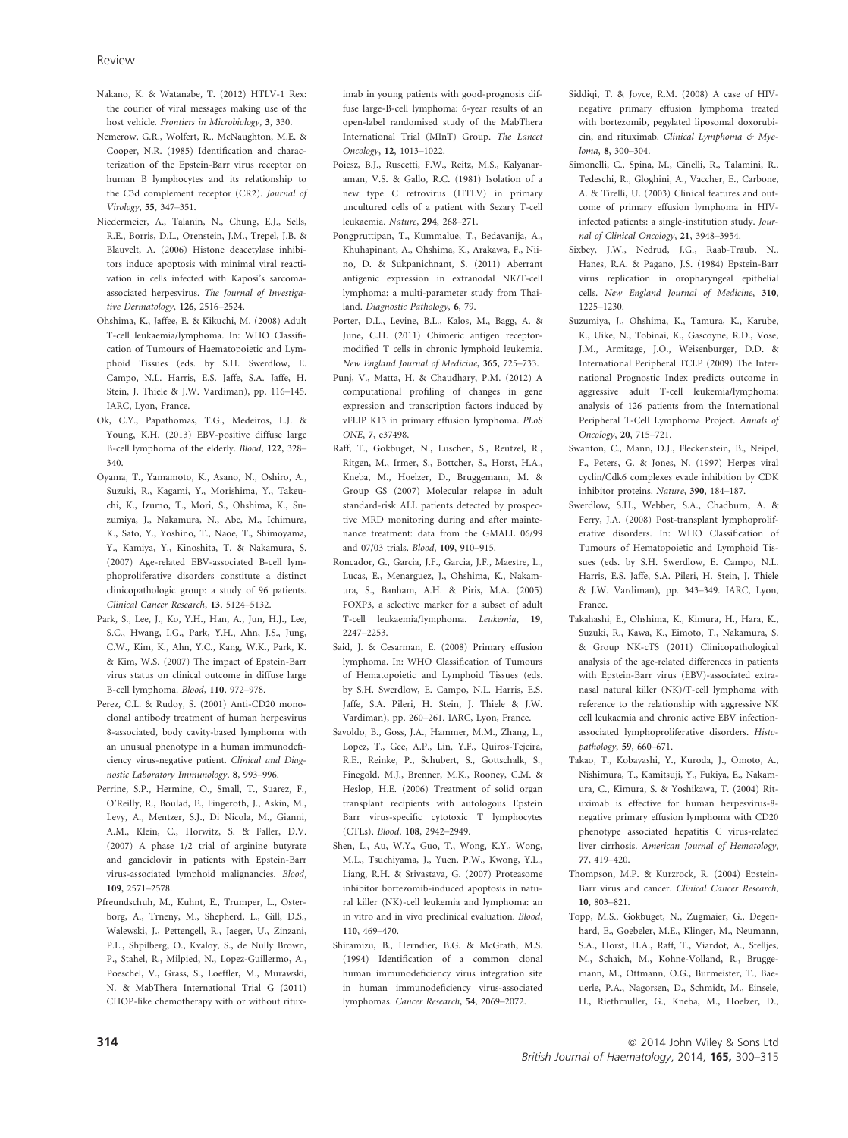- Nakano, K. & Watanabe, T. (2012) HTLV-1 Rex: the courier of viral messages making use of the host vehicle. Frontiers in Microbiology, 3, 330.
- Nemerow, G.R., Wolfert, R., McNaughton, M.E. & Cooper, N.R. (1985) Identification and characterization of the Epstein-Barr virus receptor on human B lymphocytes and its relationship to the C3d complement receptor (CR2). Journal of Virology, 55, 347–351.
- Niedermeier, A., Talanin, N., Chung, E.J., Sells, R.E., Borris, D.L., Orenstein, J.M., Trepel, J.B. & Blauvelt, A. (2006) Histone deacetylase inhibitors induce apoptosis with minimal viral reactivation in cells infected with Kaposi's sarcomaassociated herpesvirus. The Journal of Investigative Dermatology, 126, 2516–2524.
- Ohshima, K., Jaffee, E. & Kikuchi, M. (2008) Adult T-cell leukaemia/lymphoma. In: WHO Classification of Tumours of Haematopoietic and Lymphoid Tissues (eds. by S.H. Swerdlow, E. Campo, N.L. Harris, E.S. Jaffe, S.A. Jaffe, H. Stein, J. Thiele & J.W. Vardiman), pp. 116–145. IARC, Lyon, France.
- Ok, C.Y., Papathomas, T.G., Medeiros, L.J. & Young, K.H. (2013) EBV-positive diffuse large B-cell lymphoma of the elderly. Blood, 122, 328– 340.
- Oyama, T., Yamamoto, K., Asano, N., Oshiro, A., Suzuki, R., Kagami, Y., Morishima, Y., Takeuchi, K., Izumo, T., Mori, S., Ohshima, K., Suzumiya, J., Nakamura, N., Abe, M., Ichimura, K., Sato, Y., Yoshino, T., Naoe, T., Shimoyama, Y., Kamiya, Y., Kinoshita, T. & Nakamura, S. (2007) Age-related EBV-associated B-cell lymphoproliferative disorders constitute a distinct clinicopathologic group: a study of 96 patients. Clinical Cancer Research, 13, 5124–5132.
- Park, S., Lee, J., Ko, Y.H., Han, A., Jun, H.J., Lee, S.C., Hwang, I.G., Park, Y.H., Ahn, J.S., Jung, C.W., Kim, K., Ahn, Y.C., Kang, W.K., Park, K. & Kim, W.S. (2007) The impact of Epstein-Barr virus status on clinical outcome in diffuse large B-cell lymphoma. Blood, 110, 972–978.
- Perez, C.L. & Rudoy, S. (2001) Anti-CD20 monoclonal antibody treatment of human herpesvirus 8-associated, body cavity-based lymphoma with an unusual phenotype in a human immunodeficiency virus-negative patient. Clinical and Diagnostic Laboratory Immunology, 8, 993–996.
- Perrine, S.P., Hermine, O., Small, T., Suarez, F., O'Reilly, R., Boulad, F., Fingeroth, J., Askin, M., Levy, A., Mentzer, S.J., Di Nicola, M., Gianni, A.M., Klein, C., Horwitz, S. & Faller, D.V. (2007) A phase 1/2 trial of arginine butyrate and ganciclovir in patients with Epstein-Barr virus-associated lymphoid malignancies. Blood, 109, 2571–2578.
- Pfreundschuh, M., Kuhnt, E., Trumper, L., Osterborg, A., Trneny, M., Shepherd, L., Gill, D.S., Walewski, J., Pettengell, R., Jaeger, U., Zinzani, P.L., Shpilberg, O., Kvaloy, S., de Nully Brown, P., Stahel, R., Milpied, N., Lopez-Guillermo, A., Poeschel, V., Grass, S., Loeffler, M., Murawski, N. & MabThera International Trial G (2011) CHOP-like chemotherapy with or without ritux-

imab in young patients with good-prognosis diffuse large-B-cell lymphoma: 6-year results of an open-label randomised study of the MabThera International Trial (MInT) Group. The Lancet Oncology, 12, 1013–1022.

- Poiesz, B.J., Ruscetti, F.W., Reitz, M.S., Kalyanaraman, V.S. & Gallo, R.C. (1981) Isolation of a new type C retrovirus (HTLV) in primary uncultured cells of a patient with Sezary T-cell leukaemia. Nature, 294, 268–271.
- Pongpruttipan, T., Kummalue, T., Bedavanija, A., Khuhapinant, A., Ohshima, K., Arakawa, F., Niino, D. & Sukpanichnant, S. (2011) Aberrant antigenic expression in extranodal NK/T-cell lymphoma: a multi-parameter study from Thailand. Diagnostic Pathology, 6, 79.
- Porter, D.L., Levine, B.L., Kalos, M., Bagg, A. & June, C.H. (2011) Chimeric antigen receptormodified T cells in chronic lymphoid leukemia. New England Journal of Medicine, 365, 725–733.
- Punj, V., Matta, H. & Chaudhary, P.M. (2012) A computational profiling of changes in gene expression and transcription factors induced by vFLIP K13 in primary effusion lymphoma. PLoS ONE, 7, e37498.
- Raff, T., Gokbuget, N., Luschen, S., Reutzel, R., Ritgen, M., Irmer, S., Bottcher, S., Horst, H.A., Kneba, M., Hoelzer, D., Bruggemann, M. & Group GS (2007) Molecular relapse in adult standard-risk ALL patients detected by prospective MRD monitoring during and after maintenance treatment: data from the GMALL 06/99 and 07/03 trials. Blood, 109, 910–915.
- Roncador, G., Garcia, J.F., Garcia, J.F., Maestre, L., Lucas, E., Menarguez, J., Ohshima, K., Nakamura, S., Banham, A.H. & Piris, M.A. (2005) FOXP3, a selective marker for a subset of adult T-cell leukaemia/lymphoma. Leukemia, 19, 2247–2253.
- Said, J. & Cesarman, E. (2008) Primary effusion lymphoma. In: WHO Classification of Tumours of Hematopoietic and Lymphoid Tissues (eds. by S.H. Swerdlow, E. Campo, N.L. Harris, E.S. Jaffe, S.A. Pileri, H. Stein, J. Thiele & J.W. Vardiman), pp. 260–261. IARC, Lyon, France.
- Savoldo, B., Goss, J.A., Hammer, M.M., Zhang, L., Lopez, T., Gee, A.P., Lin, Y.F., Quiros-Tejeira, R.E., Reinke, P., Schubert, S., Gottschalk, S., Finegold, M.J., Brenner, M.K., Rooney, C.M. & Heslop, H.E. (2006) Treatment of solid organ transplant recipients with autologous Epstein Barr virus-specific cytotoxic T lymphocytes (CTLs). Blood, 108, 2942–2949.
- Shen, L., Au, W.Y., Guo, T., Wong, K.Y., Wong, M.L., Tsuchiyama, J., Yuen, P.W., Kwong, Y.L., Liang, R.H. & Srivastava, G. (2007) Proteasome inhibitor bortezomib-induced apoptosis in natural killer (NK)-cell leukemia and lymphoma: an in vitro and in vivo preclinical evaluation. Blood, 110, 469–470.
- Shiramizu, B., Herndier, B.G. & McGrath, M.S. (1994) Identification of a common clonal human immunodeficiency virus integration site in human immunodeficiency virus-associated lymphomas. Cancer Research, 54, 2069–2072.
- Siddiqi, T. & Joyce, R.M. (2008) A case of HIVnegative primary effusion lymphoma treated with bortezomib, pegylated liposomal doxorubicin, and rituximab. Clinical Lymphoma & Myeloma, 8, 300–304.
- Simonelli, C., Spina, M., Cinelli, R., Talamini, R., Tedeschi, R., Gloghini, A., Vaccher, E., Carbone, A. & Tirelli, U. (2003) Clinical features and outcome of primary effusion lymphoma in HIVinfected patients: a single-institution study. Journal of Clinical Oncology, 21, 3948–3954.
- Sixbey, J.W., Nedrud, J.G., Raab-Traub, N., Hanes, R.A. & Pagano, J.S. (1984) Epstein-Barr virus replication in oropharyngeal epithelial cells. New England Journal of Medicine, 310, 1225–1230.
- Suzumiya, J., Ohshima, K., Tamura, K., Karube, K., Uike, N., Tobinai, K., Gascoyne, R.D., Vose, J.M., Armitage, J.O., Weisenburger, D.D. & International Peripheral TCLP (2009) The International Prognostic Index predicts outcome in aggressive adult T-cell leukemia/lymphoma: analysis of 126 patients from the International Peripheral T-Cell Lymphoma Project. Annals of Oncology, 20, 715–721.
- Swanton, C., Mann, D.J., Fleckenstein, B., Neipel, F., Peters, G. & Jones, N. (1997) Herpes viral cyclin/Cdk6 complexes evade inhibition by CDK inhibitor proteins. Nature, 390, 184–187.
- Swerdlow, S.H., Webber, S.A., Chadburn, A. & Ferry, J.A. (2008) Post-transplant lymphoproliferative disorders. In: WHO Classification of Tumours of Hematopoietic and Lymphoid Tissues (eds. by S.H. Swerdlow, E. Campo, N.L. Harris, E.S. Jaffe, S.A. Pileri, H. Stein, J. Thiele & J.W. Vardiman), pp. 343–349. IARC, Lyon, France.
- Takahashi, E., Ohshima, K., Kimura, H., Hara, K., Suzuki, R., Kawa, K., Eimoto, T., Nakamura, S. & Group NK-cTS (2011) Clinicopathological analysis of the age-related differences in patients with Epstein-Barr virus (EBV)-associated extranasal natural killer (NK)/T-cell lymphoma with reference to the relationship with aggressive NK cell leukaemia and chronic active EBV infectionassociated lymphoproliferative disorders. Histopathology, 59, 660–671.
- Takao, T., Kobayashi, Y., Kuroda, J., Omoto, A., Nishimura, T., Kamitsuji, Y., Fukiya, E., Nakamura, C., Kimura, S. & Yoshikawa, T. (2004) Rituximab is effective for human herpesvirus-8 negative primary effusion lymphoma with CD20 phenotype associated hepatitis C virus-related liver cirrhosis. American Journal of Hematology, 77, 419–420.
- Thompson, M.P. & Kurzrock, R. (2004) Epstein-Barr virus and cancer. Clinical Cancer Research, 10, 803–821.
- Topp, M.S., Gokbuget, N., Zugmaier, G., Degenhard, E., Goebeler, M.E., Klinger, M., Neumann, S.A., Horst, H.A., Raff, T., Viardot, A., Stelljes, M., Schaich, M., Kohne-Volland, R., Bruggemann, M., Ottmann, O.G., Burmeister, T., Baeuerle, P.A., Nagorsen, D., Schmidt, M., Einsele, H., Riethmuller, G., Kneba, M., Hoelzer, D.,